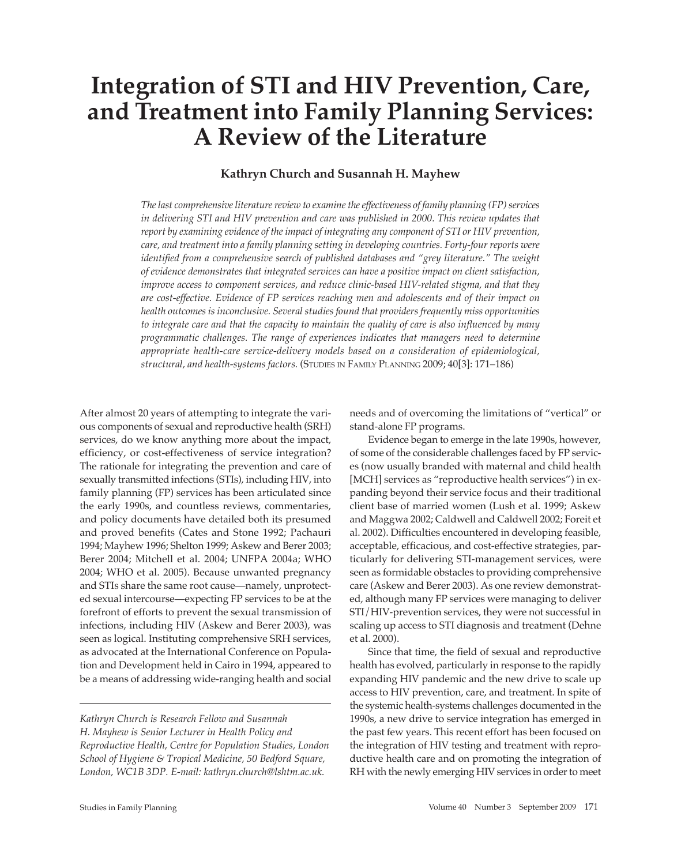# **Integration of STI and HIV Prevention, Care, and Treatment into Family Planning Services: A Review of the Literature**

#### **Kathryn Church and Susannah H. Mayhew**

*The last comprehensive literature review to examine the effectiveness of family planning (FP) services in delivering STI and HIV prevention and care was published in 2000. This review updates that report by examining evidence of the impact of integrating any component of STI or HIV prevention, care, and treatment into a family planning setting in developing countries. Forty-four reports were identified from a comprehensive search of published databases and "grey literature." The weight of evidence demonstrates that integrated services can have a positive impact on client satisfaction, improve access to component services, and reduce clinic-based HIV-related stigma, and that they are cost-effective. Evidence of FP services reaching men and adolescents and of their impact on health outcomes is inconclusive. Several studies found that providers frequently miss opportunities to integrate care and that the capacity to maintain the quality of care is also influenced by many programmatic challenges. The range of experiences indicates that managers need to determine appropriate health-care service-delivery models based on a consideration of epidemiological, structural, and health-systems factors.* (Studies in Family Planning 2009; 40[3]: 171–186)

After almost 20 years of attempting to integrate the various components of sexual and reproductive health (SRH) services, do we know anything more about the impact, efficiency, or cost-effectiveness of service integration? The rationale for integrating the prevention and care of sexually transmitted infections (STIs), including HIV, into family planning (FP) services has been articulated since the early 1990s, and countless reviews, commentaries, and policy documents have detailed both its presumed and proved benefits (Cates and Stone 1992; Pachauri 1994; Mayhew 1996; Shelton 1999; Askew and Berer 2003; Berer 2004; Mitchell et al. 2004; UNFPA 2004a; WHO 2004; WHO et al. 2005). Because unwanted pregnancy and STIs share the same root cause—namely, unprotected sexual intercourse—expecting FP services to be at the forefront of efforts to prevent the sexual transmission of infections, including HIV (Askew and Berer 2003), was seen as logical. Instituting comprehensive SRH services, as advocated at the International Conference on Population and Development held in Cairo in 1994, appeared to be a means of addressing wide-ranging health and social

*Kathryn Church is Research Fellow and Susannah H. Mayhew is Senior Lecturer in Health Policy and Reproductive Health, Centre for Population Studies, London School of Hygiene & Tropical Medicine, 50 Bedford Square, London, WC1B 3DP. E-mail: kathryn.church@lshtm.ac.uk.*

needs and of overcoming the limitations of "vertical" or stand-alone FP programs.

Evidence began to emerge in the late 1990s, however, of some of the considerable challenges faced by FP services (now usually branded with maternal and child health [MCH] services as "reproductive health services") in expanding beyond their service focus and their traditional client base of married women (Lush et al. 1999; Askew and Maggwa 2002; Caldwell and Caldwell 2002; Foreit et al. 2002). Difficulties encountered in developing feasible, acceptable, efficacious, and cost-effective strategies, particularly for delivering STI-management services, were seen as formidable obstacles to providing comprehensive care (Askew and Berer 2003). As one review demonstrated, although many FP services were managing to deliver STI/HIV-prevention services, they were not successful in scaling up access to STI diagnosis and treatment (Dehne et al. 2000).

Since that time, the field of sexual and reproductive health has evolved, particularly in response to the rapidly expanding HIV pandemic and the new drive to scale up access to HIV prevention, care, and treatment. In spite of the systemic health-systems challenges documented in the 1990s, a new drive to service integration has emerged in the past few years. This recent effort has been focused on the integration of HIV testing and treatment with reproductive health care and on promoting the integration of RH with the newly emerging HIV services in order to meet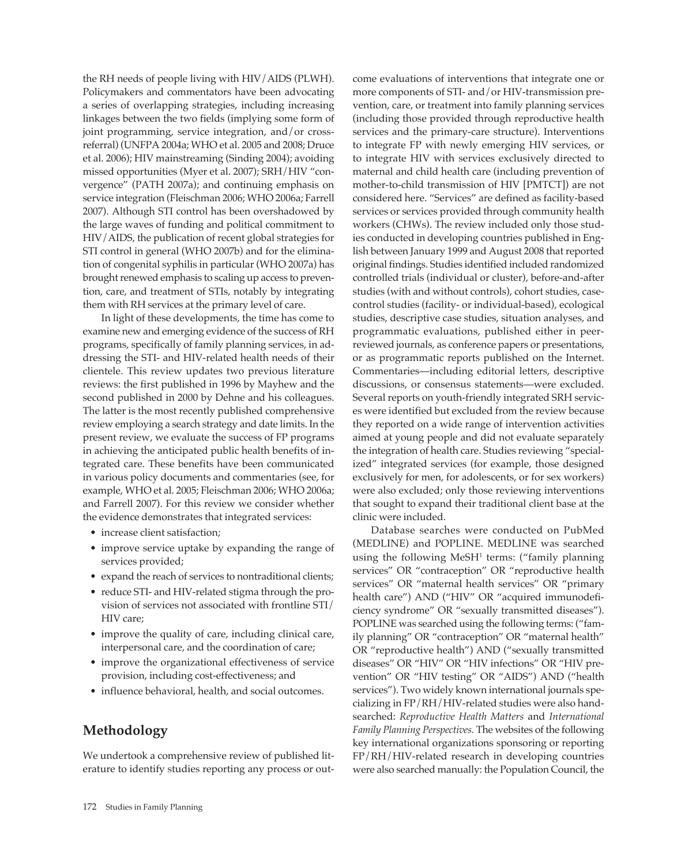the RH needs of people living with HIV/AIDS (PLWH). Policymakers and commentators have been advocating a series of overlapping strategies, including increasing linkages between the two fields (implying some form of joint programming, service integration, and/or crossreferral) (UNFPA 2004a; WHO et al. 2005 and 2008; Druce et al. 2006); HIV mainstreaming (Sinding 2004); avoiding missed opportunities (Myer et al. 2007); SRH/HIV "convergence" (PATH 2007a); and continuing emphasis on service integration (Fleischman 2006; WHO 2006a; Farrell 2007). Although STI control has been overshadowed by the large waves of funding and political commitment to HIV/AIDS, the publication of recent global strategies for STI control in general (WHO 2007b) and for the elimination of congenital syphilis in particular (WHO 2007a) has brought renewed emphasis to scaling up access to prevention, care, and treatment of STIs, notably by integrating them with RH services at the primary level of care.

In light of these developments, the time has come to examine new and emerging evidence of the success of RH programs, specifically of family planning services, in addressing the STI- and HIV-related health needs of their clientele. This review updates two previous literature reviews: the first published in 1996 by Mayhew and the second published in 2000 by Dehne and his colleagues. The latter is the most recently published comprehensive review employing a search strategy and date limits. In the present review, we evaluate the success of FP programs in achieving the anticipated public health benefits of integrated care. These benefits have been communicated in various policy documents and commentaries (see, for example, WHO et al. 2005; Fleischman 2006; WHO 2006a; and Farrell 2007). For this review we consider whether the evidence demonstrates that integrated services:

- increase client satisfaction;
- improve service uptake by expanding the range of services provided;
- expand the reach of services to nontraditional clients;
- reduce STI- and HIV-related stigma through the provision of services not associated with frontline STI/ HIV care;
- improve the quality of care, including clinical care, interpersonal care, and the coordination of care;
- improve the organizational effectiveness of service provision, including cost-effectiveness; and
- influence behavioral, health, and social outcomes.

# **Methodology**

We undertook a comprehensive review of published literature to identify studies reporting any process or outcome evaluations of interventions that integrate one or more components of STI- and/or HIV-transmission prevention, care, or treatment into family planning services (including those provided through reproductive health services and the primary-care structure). Interventions to integrate FP with newly emerging HIV services, or to integrate HIV with services exclusively directed to maternal and child health care (including prevention of mother-to-child transmission of HIV [PMTCT]) are not considered here. "Services" are defined as facility-based services or services provided through community health workers (CHWs). The review included only those studies conducted in developing countries published in English between January 1999 and August 2008 that reported original findings. Studies identified included randomized controlled trials (individual or cluster), before-and-after studies (with and without controls), cohort studies, casecontrol studies (facility- or individual-based), ecological studies, descriptive case studies, situation analyses, and programmatic evaluations, published either in peerreviewed journals, as conference papers or presentations, or as programmatic reports published on the Internet. Commentaries—including editorial letters, descriptive discussions, or consensus statements—were excluded. Several reports on youth-friendly integrated SRH services were identified but excluded from the review because they reported on a wide range of intervention activities aimed at young people and did not evaluate separately the integration of health care. Studies reviewing "specialized" integrated services (for example, those designed exclusively for men, for adolescents, or for sex workers) were also excluded; only those reviewing interventions that sought to expand their traditional client base at the clinic were included.

Database searches were conducted on PubMed (MEDLINE) and POPLINE. MEDLINE was searched using the following MeSH1 terms: ("family planning services" OR "contraception" OR "reproductive health services" OR "maternal health services" OR "primary health care") AND ("HIV" OR "acquired immunodeficiency syndrome" OR "sexually transmitted diseases"). POPLINE was searched using the following terms: ("family planning" OR "contraception" OR "maternal health" OR "reproductive health") AND ("sexually transmitted diseases" OR "HIV" OR "HIV infections" OR "HIV prevention" OR "HIV testing" OR "AIDS") AND ("health services"). Two widely known international journals specializing in FP/RH/HIV-related studies were also handsearched: *Reproductive Health Matters* and *International Family Planning Perspectives.* The websites of the following key international organizations sponsoring or reporting FP/RH/HIV-related research in developing countries were also searched manually: the Population Council, the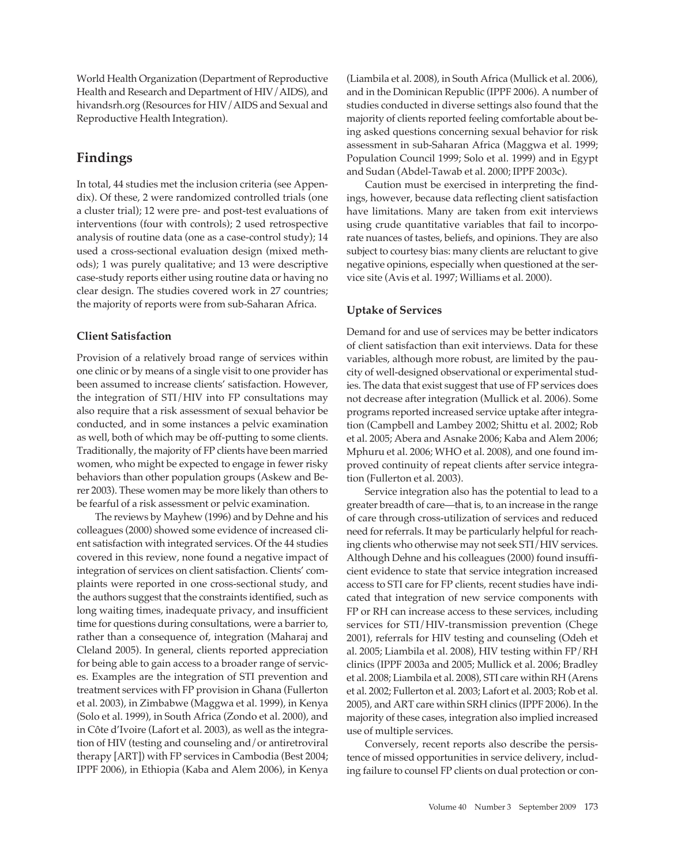World Health Organization (Department of Reproductive Health and Research and Department of HIV/AIDS), and hivandsrh.org (Resources for HIV/AIDS and Sexual and Reproductive Health Integration).

# **Findings**

In total, 44 studies met the inclusion criteria (see Appendix). Of these, 2 were randomized controlled trials (one a cluster trial); 12 were pre- and post-test evaluations of interventions (four with controls); 2 used retrospective analysis of routine data (one as a case-control study); 14 used a cross-sectional evaluation design (mixed methods); 1 was purely qualitative; and 13 were descriptive case-study reports either using routine data or having no clear design. The studies covered work in 27 countries; the majority of reports were from sub-Saharan Africa.

#### **Client Satisfaction**

Provision of a relatively broad range of services within one clinic or by means of a single visit to one provider has been assumed to increase clients' satisfaction. However, the integration of STI/HIV into FP consultations may also require that a risk assessment of sexual behavior be conducted, and in some instances a pelvic examination as well, both of which may be off-putting to some clients. Traditionally, the majority of FP clients have been married women, who might be expected to engage in fewer risky behaviors than other population groups (Askew and Berer 2003). These women may be more likely than others to be fearful of a risk assessment or pelvic examination.

The reviews by Mayhew (1996) and by Dehne and his colleagues (2000) showed some evidence of increased client satisfaction with integrated services. Of the 44 studies covered in this review, none found a negative impact of integration of services on client satisfaction. Clients' complaints were reported in one cross-sectional study, and the authors suggest that the constraints identified, such as long waiting times, inadequate privacy, and insufficient time for questions during consultations, were a barrier to, rather than a consequence of, integration (Maharaj and Cleland 2005). In general, clients reported appreciation for being able to gain access to a broader range of services. Examples are the integration of STI prevention and treatment services with FP provision in Ghana (Fullerton et al. 2003), in Zimbabwe (Maggwa et al. 1999), in Kenya (Solo et al. 1999), in South Africa (Zondo et al. 2000), and in Côte d'Ivoire (Lafort et al. 2003), as well as the integration of HIV (testing and counseling and/or antiretroviral therapy [ART]) with FP services in Cambodia (Best 2004; IPPF 2006), in Ethiopia (Kaba and Alem 2006), in Kenya (Liambila et al. 2008), in South Africa (Mullick et al. 2006), and in the Dominican Republic (IPPF 2006). A number of studies conducted in diverse settings also found that the majority of clients reported feeling comfortable about being asked questions concerning sexual behavior for risk assessment in sub-Saharan Africa (Maggwa et al. 1999; Population Council 1999; Solo et al. 1999) and in Egypt and Sudan (Abdel-Tawab et al. 2000; IPPF 2003c).

Caution must be exercised in interpreting the findings, however, because data reflecting client satisfaction have limitations. Many are taken from exit interviews using crude quantitative variables that fail to incorporate nuances of tastes, beliefs, and opinions. They are also subject to courtesy bias: many clients are reluctant to give negative opinions, especially when questioned at the service site (Avis et al. 1997; Williams et al. 2000).

#### **Uptake of Services**

Demand for and use of services may be better indicators of client satisfaction than exit interviews. Data for these variables, although more robust, are limited by the paucity of well-designed observational or experimental studies. The data that exist suggest that use of FP services does not decrease after integration (Mullick et al. 2006). Some programs reported increased service uptake after integration (Campbell and Lambey 2002; Shittu et al. 2002; Rob et al. 2005; Abera and Asnake 2006; Kaba and Alem 2006; Mphuru et al. 2006; WHO et al. 2008), and one found improved continuity of repeat clients after service integration (Fullerton et al. 2003).

Service integration also has the potential to lead to a greater breadth of care—that is, to an increase in the range of care through cross-utilization of services and reduced need for referrals. It may be particularly helpful for reaching clients who otherwise may not seek STI/HIV services. Although Dehne and his colleagues (2000) found insufficient evidence to state that service integration increased access to STI care for FP clients, recent studies have indicated that integration of new service components with FP or RH can increase access to these services, including services for STI/HIV-transmission prevention (Chege 2001), referrals for HIV testing and counseling (Odeh et al. 2005; Liambila et al. 2008), HIV testing within FP/RH clinics (IPPF 2003a and 2005; Mullick et al. 2006; Bradley et al. 2008; Liambila et al. 2008), STI care within RH (Arens et al. 2002; Fullerton et al. 2003; Lafort et al. 2003; Rob et al. 2005), and ART care within SRH clinics (IPPF 2006). In the majority of these cases, integration also implied increased use of multiple services.

Conversely, recent reports also describe the persistence of missed opportunities in service delivery, including failure to counsel FP clients on dual protection or con-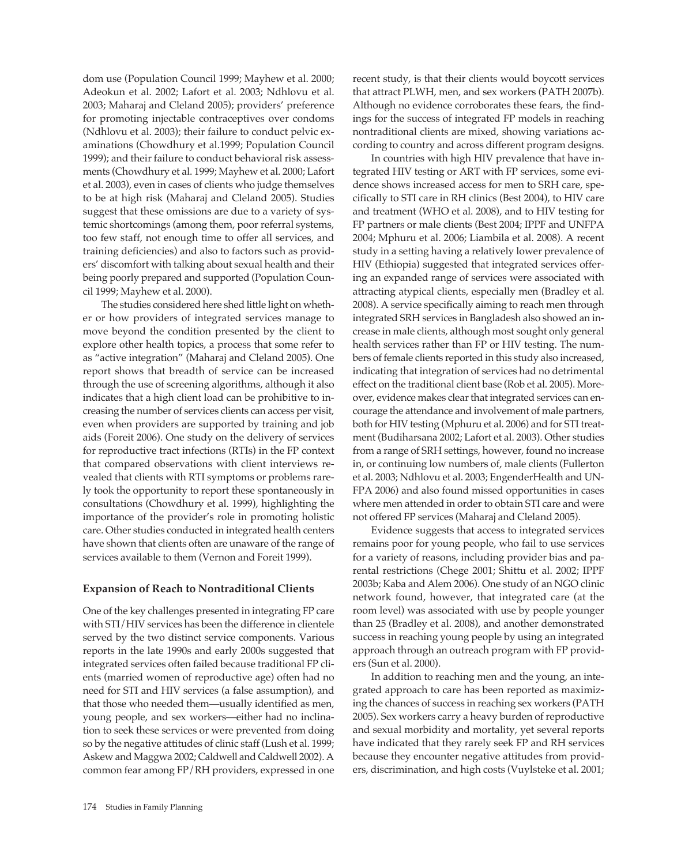dom use (Population Council 1999; Mayhew et al. 2000; Adeokun et al. 2002; Lafort et al. 2003; Ndhlovu et al. 2003; Maharaj and Cleland 2005); providers' preference for promoting injectable contraceptives over condoms (Ndhlovu et al. 2003); their failure to conduct pelvic examinations (Chowdhury et al.1999; Population Council 1999); and their failure to conduct behavioral risk assessments (Chowdhury et al. 1999; Mayhew et al. 2000; Lafort et al. 2003), even in cases of clients who judge themselves to be at high risk (Maharaj and Cleland 2005). Studies suggest that these omissions are due to a variety of systemic shortcomings (among them, poor referral systems, too few staff, not enough time to offer all services, and training deficiencies) and also to factors such as providers' discomfort with talking about sexual health and their being poorly prepared and supported (Population Council 1999; Mayhew et al. 2000).

The studies considered here shed little light on whether or how providers of integrated services manage to move beyond the condition presented by the client to explore other health topics, a process that some refer to as "active integration" (Maharaj and Cleland 2005). One report shows that breadth of service can be increased through the use of screening algorithms, although it also indicates that a high client load can be prohibitive to increasing the number of services clients can access per visit, even when providers are supported by training and job aids (Foreit 2006). One study on the delivery of services for reproductive tract infections (RTIs) in the FP context that compared observations with client interviews revealed that clients with RTI symptoms or problems rarely took the opportunity to report these spontaneously in consultations (Chowdhury et al. 1999), highlighting the importance of the provider's role in promoting holistic care. Other studies conducted in integrated health centers have shown that clients often are unaware of the range of services available to them (Vernon and Foreit 1999).

#### **Expansion of Reach to Nontraditional Clients**

One of the key challenges presented in integrating FP care with STI/HIV services has been the difference in clientele served by the two distinct service components. Various reports in the late 1990s and early 2000s suggested that integrated services often failed because traditional FP clients (married women of reproductive age) often had no need for STI and HIV services (a false assumption), and that those who needed them—usually identified as men, young people, and sex workers—either had no inclination to seek these services or were prevented from doing so by the negative attitudes of clinic staff (Lush et al. 1999; Askew and Maggwa 2002; Caldwell and Caldwell 2002). A common fear among FP/RH providers, expressed in one

recent study, is that their clients would boycott services that attract PLWH, men, and sex workers (PATH 2007b). Although no evidence corroborates these fears, the findings for the success of integrated FP models in reaching nontraditional clients are mixed, showing variations according to country and across different program designs.

In countries with high HIV prevalence that have integrated HIV testing or ART with FP services, some evidence shows increased access for men to SRH care, specifically to STI care in RH clinics (Best 2004), to HIV care and treatment (WHO et al. 2008), and to HIV testing for FP partners or male clients (Best 2004; IPPF and UNFPA 2004; Mphuru et al. 2006; Liambila et al. 2008). A recent study in a setting having a relatively lower prevalence of HIV (Ethiopia) suggested that integrated services offering an expanded range of services were associated with attracting atypical clients, especially men (Bradley et al. 2008). A service specifically aiming to reach men through integrated SRH services in Bangladesh also showed an increase in male clients, although most sought only general health services rather than FP or HIV testing. The numbers of female clients reported in this study also increased, indicating that integration of services had no detrimental effect on the traditional client base (Rob et al. 2005). Moreover, evidence makes clear that integrated services can encourage the attendance and involvement of male partners, both for HIV testing (Mphuru et al. 2006) and for STI treatment (Budiharsana 2002; Lafort et al. 2003). Other studies from a range of SRH settings, however, found no increase in, or continuing low numbers of, male clients (Fullerton et al. 2003; Ndhlovu et al. 2003; EngenderHealth and UN-FPA 2006) and also found missed opportunities in cases where men attended in order to obtain STI care and were not offered FP services (Maharaj and Cleland 2005).

Evidence suggests that access to integrated services remains poor for young people, who fail to use services for a variety of reasons, including provider bias and parental restrictions (Chege 2001; Shittu et al. 2002; IPPF 2003b; Kaba and Alem 2006). One study of an NGO clinic network found, however, that integrated care (at the room level) was associated with use by people younger than 25 (Bradley et al. 2008), and another demonstrated success in reaching young people by using an integrated approach through an outreach program with FP providers (Sun et al. 2000).

In addition to reaching men and the young, an integrated approach to care has been reported as maximizing the chances of success in reaching sex workers (PATH 2005). Sex workers carry a heavy burden of reproductive and sexual morbidity and mortality, yet several reports have indicated that they rarely seek FP and RH services because they encounter negative attitudes from providers, discrimination, and high costs (Vuylsteke et al. 2001;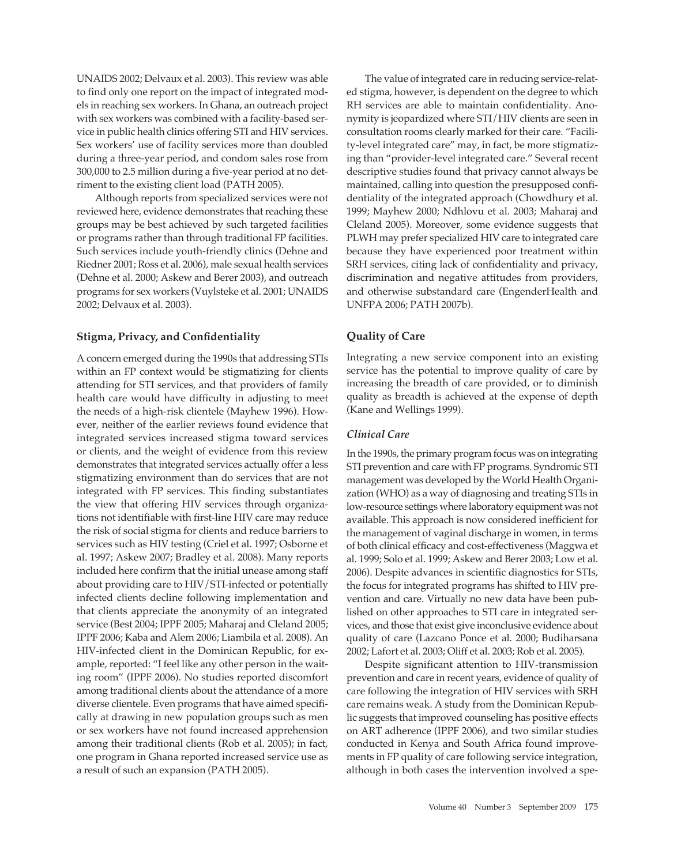UNAIDS 2002; Delvaux et al. 2003). This review was able to find only one report on the impact of integrated models in reaching sex workers. In Ghana, an outreach project with sex workers was combined with a facility-based service in public health clinics offering STI and HIV services. Sex workers' use of facility services more than doubled during a three-year period, and condom sales rose from 300,000 to 2.5 million during a five-year period at no detriment to the existing client load (PATH 2005).

Although reports from specialized services were not reviewed here, evidence demonstrates that reaching these groups may be best achieved by such targeted facilities or programs rather than through traditional FP facilities. Such services include youth-friendly clinics (Dehne and Riedner 2001; Ross et al. 2006), male sexual health services (Dehne et al. 2000; Askew and Berer 2003), and outreach programs for sex workers (Vuylsteke et al. 2001; UNAIDS 2002; Delvaux et al. 2003).

#### **Stigma, Privacy, and Confidentiality**

A concern emerged during the 1990s that addressing STIs within an FP context would be stigmatizing for clients attending for STI services, and that providers of family health care would have difficulty in adjusting to meet the needs of a high-risk clientele (Mayhew 1996). However, neither of the earlier reviews found evidence that integrated services increased stigma toward services or clients, and the weight of evidence from this review demonstrates that integrated services actually offer a less stigmatizing environment than do services that are not integrated with FP services. This finding substantiates the view that offering HIV services through organizations not identifiable with first-line HIV care may reduce the risk of social stigma for clients and reduce barriers to services such as HIV testing (Criel et al. 1997; Osborne et al. 1997; Askew 2007; Bradley et al. 2008). Many reports included here confirm that the initial unease among staff about providing care to HIV/STI-infected or potentially infected clients decline following implementation and that clients appreciate the anonymity of an integrated service (Best 2004; IPPF 2005; Maharaj and Cleland 2005; IPPF 2006; Kaba and Alem 2006; Liambila et al. 2008). An HIV-infected client in the Dominican Republic, for example, reported: "I feel like any other person in the waiting room" (IPPF 2006). No studies reported discomfort among traditional clients about the attendance of a more diverse clientele. Even programs that have aimed specifically at drawing in new population groups such as men or sex workers have not found increased apprehension among their traditional clients (Rob et al. 2005); in fact, one program in Ghana reported increased service use as a result of such an expansion (PATH 2005).

The value of integrated care in reducing service-related stigma, however, is dependent on the degree to which RH services are able to maintain confidentiality. Anonymity is jeopardized where STI/HIV clients are seen in consultation rooms clearly marked for their care. "Facility-level integrated care" may, in fact, be more stigmatizing than "provider-level integrated care." Several recent descriptive studies found that privacy cannot always be maintained, calling into question the presupposed confidentiality of the integrated approach (Chowdhury et al. 1999; Mayhew 2000; Ndhlovu et al. 2003; Maharaj and Cleland 2005). Moreover, some evidence suggests that PLWH may prefer specialized HIV care to integrated care because they have experienced poor treatment within SRH services, citing lack of confidentiality and privacy, discrimination and negative attitudes from providers, and otherwise substandard care (EngenderHealth and UNFPA 2006; PATH 2007b).

#### **Quality of Care**

Integrating a new service component into an existing service has the potential to improve quality of care by increasing the breadth of care provided, or to diminish quality as breadth is achieved at the expense of depth (Kane and Wellings 1999).

#### *Clinical Care*

In the 1990s, the primary program focus was on integrating STI prevention and care with FP programs. Syndromic STI management was developed by the World Health Organization (WHO) as a way of diagnosing and treating STIs in low-resource settings where laboratory equipment was not available. This approach is now considered inefficient for the management of vaginal discharge in women, in terms of both clinical efficacy and cost-effectiveness (Maggwa et al. 1999; Solo et al. 1999; Askew and Berer 2003; Low et al. 2006). Despite advances in scientific diagnostics for STIs, the focus for integrated programs has shifted to HIV prevention and care. Virtually no new data have been published on other approaches to STI care in integrated services, and those that exist give inconclusive evidence about quality of care (Lazcano Ponce et al. 2000; Budiharsana 2002; Lafort et al. 2003; Oliff et al. 2003; Rob et al. 2005).

Despite significant attention to HIV-transmission prevention and care in recent years, evidence of quality of care following the integration of HIV services with SRH care remains weak. A study from the Dominican Republic suggests that improved counseling has positive effects on ART adherence (IPPF 2006), and two similar studies conducted in Kenya and South Africa found improvements in FP quality of care following service integration, although in both cases the intervention involved a spe-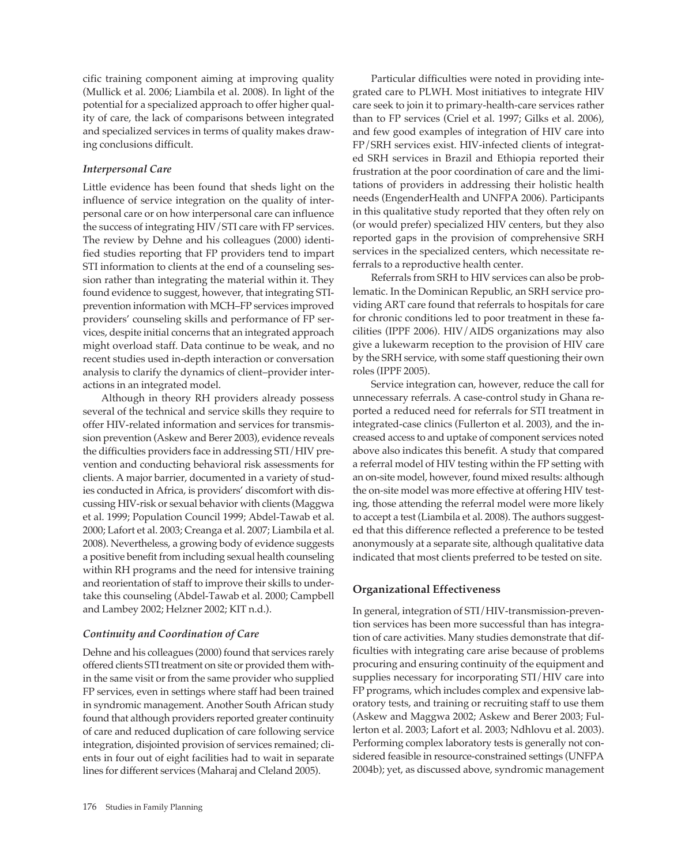cific training component aiming at improving quality (Mullick et al. 2006; Liambila et al. 2008). In light of the potential for a specialized approach to offer higher quality of care, the lack of comparisons between integrated and specialized services in terms of quality makes drawing conclusions difficult.

#### *Interpersonal Care*

Little evidence has been found that sheds light on the influence of service integration on the quality of interpersonal care or on how interpersonal care can influence the success of integrating HIV/STI care with FP services. The review by Dehne and his colleagues (2000) identified studies reporting that FP providers tend to impart STI information to clients at the end of a counseling session rather than integrating the material within it. They found evidence to suggest, however, that integrating STIprevention information with MCH–FP services improved providers' counseling skills and performance of FP services, despite initial concerns that an integrated approach might overload staff. Data continue to be weak, and no recent studies used in-depth interaction or conversation analysis to clarify the dynamics of client–provider interactions in an integrated model.

Although in theory RH providers already possess several of the technical and service skills they require to offer HIV-related information and services for transmission prevention (Askew and Berer 2003), evidence reveals the difficulties providers face in addressing STI/HIV prevention and conducting behavioral risk assessments for clients. A major barrier, documented in a variety of studies conducted in Africa, is providers' discomfort with discussing HIV-risk or sexual behavior with clients (Maggwa et al. 1999; Population Council 1999; Abdel-Tawab et al. 2000; Lafort et al. 2003; Creanga et al. 2007; Liambila et al. 2008). Nevertheless, a growing body of evidence suggests a positive benefit from including sexual health counseling within RH programs and the need for intensive training and reorientation of staff to improve their skills to undertake this counseling (Abdel-Tawab et al. 2000; Campbell and Lambey 2002; Helzner 2002; KIT n.d.).

### *Continuity and Coordination of Care*

Dehne and his colleagues (2000) found that services rarely offered clients STI treatment on site or provided them within the same visit or from the same provider who supplied FP services, even in settings where staff had been trained in syndromic management. Another South African study found that although providers reported greater continuity of care and reduced duplication of care following service integration, disjointed provision of services remained; clients in four out of eight facilities had to wait in separate lines for different services (Maharaj and Cleland 2005).

Particular difficulties were noted in providing integrated care to PLWH. Most initiatives to integrate HIV care seek to join it to primary-health-care services rather than to FP services (Criel et al. 1997; Gilks et al. 2006), and few good examples of integration of HIV care into FP/SRH services exist. HIV-infected clients of integrated SRH services in Brazil and Ethiopia reported their frustration at the poor coordination of care and the limitations of providers in addressing their holistic health needs (EngenderHealth and UNFPA 2006). Participants in this qualitative study reported that they often rely on (or would prefer) specialized HIV centers, but they also reported gaps in the provision of comprehensive SRH services in the specialized centers, which necessitate referrals to a reproductive health center.

Referrals from SRH to HIV services can also be problematic. In the Dominican Republic, an SRH service providing ART care found that referrals to hospitals for care for chronic conditions led to poor treatment in these facilities (IPPF 2006). HIV/AIDS organizations may also give a lukewarm reception to the provision of HIV care by the SRH service, with some staff questioning their own roles (IPPF 2005).

Service integration can, however, reduce the call for unnecessary referrals. A case-control study in Ghana reported a reduced need for referrals for STI treatment in integrated-case clinics (Fullerton et al. 2003), and the increased access to and uptake of component services noted above also indicates this benefit. A study that compared a referral model of HIV testing within the FP setting with an on-site model, however, found mixed results: although the on-site model was more effective at offering HIV testing, those attending the referral model were more likely to accept a test (Liambila et al. 2008). The authors suggested that this difference reflected a preference to be tested anonymously at a separate site, although qualitative data indicated that most clients preferred to be tested on site.

## **Organizational Effectiveness**

In general, integration of STI/HIV-transmission-prevention services has been more successful than has integration of care activities. Many studies demonstrate that difficulties with integrating care arise because of problems procuring and ensuring continuity of the equipment and supplies necessary for incorporating STI/HIV care into FP programs, which includes complex and expensive laboratory tests, and training or recruiting staff to use them (Askew and Maggwa 2002; Askew and Berer 2003; Fullerton et al. 2003; Lafort et al. 2003; Ndhlovu et al. 2003). Performing complex laboratory tests is generally not considered feasible in resource-constrained settings (UNFPA 2004b); yet, as discussed above, syndromic management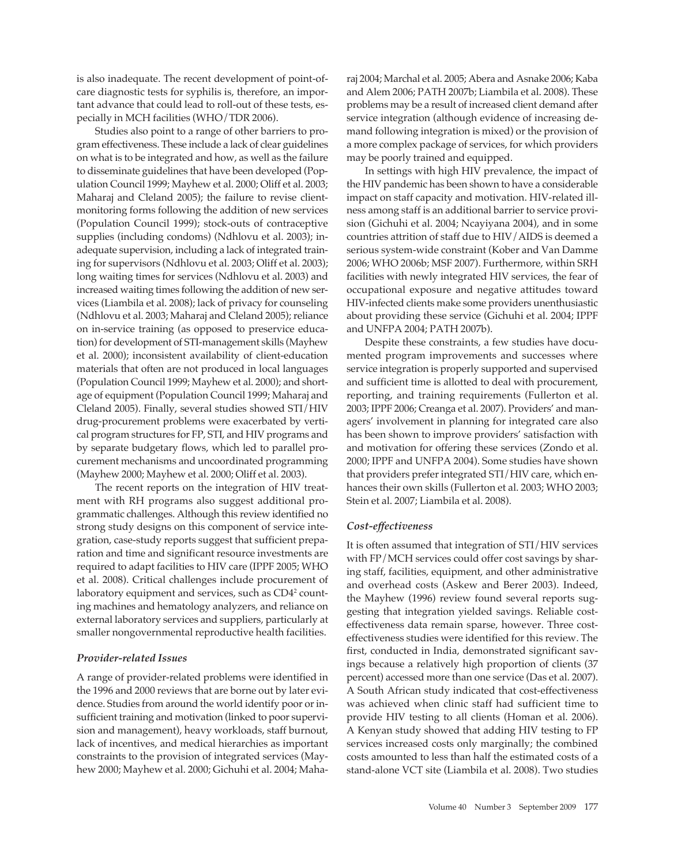is also inadequate. The recent development of point-ofcare diagnostic tests for syphilis is, therefore, an important advance that could lead to roll-out of these tests, especially in MCH facilities (WHO/TDR 2006).

Studies also point to a range of other barriers to program effectiveness. These include a lack of clear guidelines on what is to be integrated and how, as well as the failure to disseminate guidelines that have been developed (Population Council 1999; Mayhew et al. 2000; Oliff et al. 2003; Maharaj and Cleland 2005); the failure to revise clientmonitoring forms following the addition of new services (Population Council 1999); stock-outs of contraceptive supplies (including condoms) (Ndhlovu et al. 2003); inadequate supervision, including a lack of integrated training for supervisors (Ndhlovu et al. 2003; Oliff et al. 2003); long waiting times for services (Ndhlovu et al. 2003) and increased waiting times following the addition of new services (Liambila et al. 2008); lack of privacy for counseling (Ndhlovu et al. 2003; Maharaj and Cleland 2005); reliance on in-service training (as opposed to preservice education) for development of STI-management skills (Mayhew et al. 2000); inconsistent availability of client-education materials that often are not produced in local languages (Population Council 1999; Mayhew et al. 2000); and shortage of equipment (Population Council 1999; Maharaj and Cleland 2005). Finally, several studies showed STI/HIV drug-procurement problems were exacerbated by vertical program structures for FP, STI, and HIV programs and by separate budgetary flows, which led to parallel procurement mechanisms and uncoordinated programming (Mayhew 2000; Mayhew et al. 2000; Oliff et al. 2003).

The recent reports on the integration of HIV treatment with RH programs also suggest additional programmatic challenges. Although this review identified no strong study designs on this component of service integration, case-study reports suggest that sufficient preparation and time and significant resource investments are required to adapt facilities to HIV care (IPPF 2005; WHO et al. 2008). Critical challenges include procurement of laboratory equipment and services, such as CD4<del>'</del> counting machines and hematology analyzers, and reliance on external laboratory services and suppliers, particularly at smaller nongovernmental reproductive health facilities.

#### *Provider-related Issues*

A range of provider-related problems were identified in the 1996 and 2000 reviews that are borne out by later evidence. Studies from around the world identify poor or insufficient training and motivation (linked to poor supervision and management), heavy workloads, staff burnout, lack of incentives, and medical hierarchies as important constraints to the provision of integrated services (Mayhew 2000; Mayhew et al. 2000; Gichuhi et al. 2004; Maharaj 2004; Marchal et al. 2005; Abera and Asnake 2006; Kaba and Alem 2006; PATH 2007b; Liambila et al. 2008). These problems may be a result of increased client demand after service integration (although evidence of increasing demand following integration is mixed) or the provision of a more complex package of services, for which providers may be poorly trained and equipped.

In settings with high HIV prevalence, the impact of the HIV pandemic has been shown to have a considerable impact on staff capacity and motivation. HIV-related illness among staff is an additional barrier to service provision (Gichuhi et al. 2004; Ncayiyana 2004), and in some countries attrition of staff due to HIV/AIDS is deemed a serious system-wide constraint (Kober and Van Damme 2006; WHO 2006b; MSF 2007). Furthermore, within SRH facilities with newly integrated HIV services, the fear of occupational exposure and negative attitudes toward HIV-infected clients make some providers unenthusiastic about providing these service (Gichuhi et al. 2004; IPPF and UNFPA 2004; PATH 2007b).

Despite these constraints, a few studies have documented program improvements and successes where service integration is properly supported and supervised and sufficient time is allotted to deal with procurement, reporting, and training requirements (Fullerton et al. 2003; IPPF 2006; Creanga et al. 2007). Providers' and managers' involvement in planning for integrated care also has been shown to improve providers' satisfaction with and motivation for offering these services (Zondo et al. 2000; IPPF and UNFPA 2004). Some studies have shown that providers prefer integrated STI/HIV care, which enhances their own skills (Fullerton et al. 2003; WHO 2003; Stein et al. 2007; Liambila et al. 2008).

#### *Cost-effectiveness*

It is often assumed that integration of STI/HIV services with FP/MCH services could offer cost savings by sharing staff, facilities, equipment, and other administrative and overhead costs (Askew and Berer 2003). Indeed, the Mayhew (1996) review found several reports suggesting that integration yielded savings. Reliable costeffectiveness data remain sparse, however. Three costeffectiveness studies were identified for this review. The first, conducted in India, demonstrated significant savings because a relatively high proportion of clients (37 percent) accessed more than one service (Das et al. 2007). A South African study indicated that cost-effectiveness was achieved when clinic staff had sufficient time to provide HIV testing to all clients (Homan et al. 2006). A Kenyan study showed that adding HIV testing to FP services increased costs only marginally; the combined costs amounted to less than half the estimated costs of a stand-alone VCT site (Liambila et al. 2008). Two studies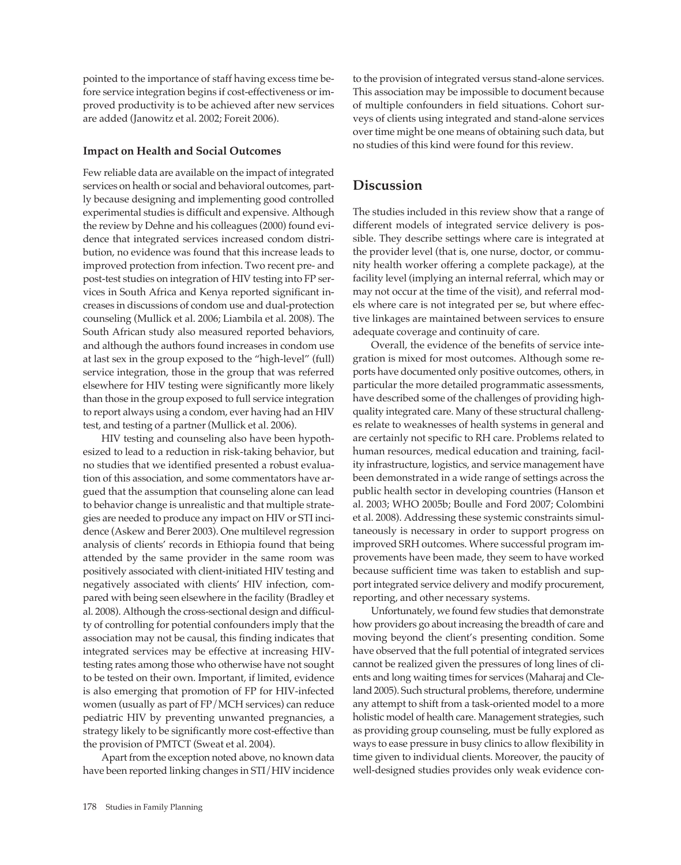pointed to the importance of staff having excess time before service integration begins if cost-effectiveness or improved productivity is to be achieved after new services are added (Janowitz et al. 2002; Foreit 2006).

#### **Impact on Health and Social Outcomes**

Few reliable data are available on the impact of integrated services on health or social and behavioral outcomes, partly because designing and implementing good controlled experimental studies is difficult and expensive. Although the review by Dehne and his colleagues (2000) found evidence that integrated services increased condom distribution, no evidence was found that this increase leads to improved protection from infection. Two recent pre- and post-test studies on integration of HIV testing into FP services in South Africa and Kenya reported significant increases in discussions of condom use and dual-protection counseling (Mullick et al. 2006; Liambila et al. 2008). The South African study also measured reported behaviors, and although the authors found increases in condom use at last sex in the group exposed to the "high-level" (full) service integration, those in the group that was referred elsewhere for HIV testing were significantly more likely than those in the group exposed to full service integration to report always using a condom, ever having had an HIV test, and testing of a partner (Mullick et al. 2006).

HIV testing and counseling also have been hypothesized to lead to a reduction in risk-taking behavior, but no studies that we identified presented a robust evaluation of this association, and some commentators have argued that the assumption that counseling alone can lead to behavior change is unrealistic and that multiple strategies are needed to produce any impact on HIV or STI incidence (Askew and Berer 2003). One multilevel regression analysis of clients' records in Ethiopia found that being attended by the same provider in the same room was positively associated with client-initiated HIV testing and negatively associated with clients' HIV infection, compared with being seen elsewhere in the facility (Bradley et al. 2008). Although the cross-sectional design and difficulty of controlling for potential confounders imply that the association may not be causal, this finding indicates that integrated services may be effective at increasing HIVtesting rates among those who otherwise have not sought to be tested on their own. Important, if limited, evidence is also emerging that promotion of FP for HIV-infected women (usually as part of FP/MCH services) can reduce pediatric HIV by preventing unwanted pregnancies, a strategy likely to be significantly more cost-effective than the provision of PMTCT (Sweat et al. 2004).

Apart from the exception noted above, no known data have been reported linking changes in STI/HIV incidence to the provision of integrated versus stand-alone services. This association may be impossible to document because of multiple confounders in field situations. Cohort surveys of clients using integrated and stand-alone services over time might be one means of obtaining such data, but no studies of this kind were found for this review.

# **Discussion**

The studies included in this review show that a range of different models of integrated service delivery is possible. They describe settings where care is integrated at the provider level (that is, one nurse, doctor, or community health worker offering a complete package), at the facility level (implying an internal referral, which may or may not occur at the time of the visit), and referral models where care is not integrated per se, but where effective linkages are maintained between services to ensure adequate coverage and continuity of care.

Overall, the evidence of the benefits of service integration is mixed for most outcomes. Although some reports have documented only positive outcomes, others, in particular the more detailed programmatic assessments, have described some of the challenges of providing highquality integrated care. Many of these structural challenges relate to weaknesses of health systems in general and are certainly not specific to RH care. Problems related to human resources, medical education and training, facility infrastructure, logistics, and service management have been demonstrated in a wide range of settings across the public health sector in developing countries (Hanson et al. 2003; WHO 2005b; Boulle and Ford 2007; Colombini et al. 2008). Addressing these systemic constraints simultaneously is necessary in order to support progress on improved SRH outcomes. Where successful program improvements have been made, they seem to have worked because sufficient time was taken to establish and support integrated service delivery and modify procurement, reporting, and other necessary systems.

Unfortunately, we found few studies that demonstrate how providers go about increasing the breadth of care and moving beyond the client's presenting condition. Some have observed that the full potential of integrated services cannot be realized given the pressures of long lines of clients and long waiting times for services (Maharaj and Cleland 2005). Such structural problems, therefore, undermine any attempt to shift from a task-oriented model to a more holistic model of health care. Management strategies, such as providing group counseling, must be fully explored as ways to ease pressure in busy clinics to allow flexibility in time given to individual clients. Moreover, the paucity of well-designed studies provides only weak evidence con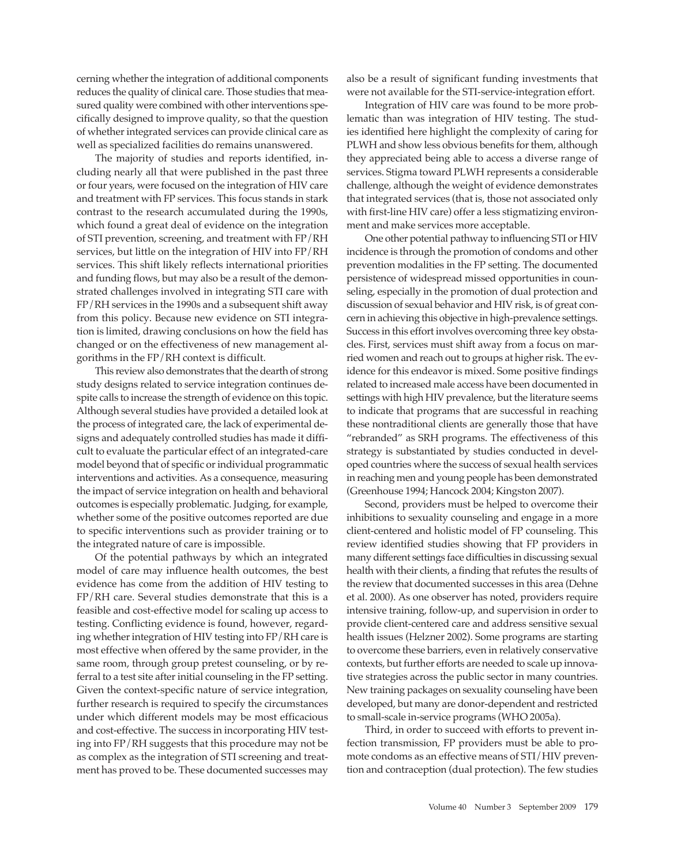cerning whether the integration of additional components reduces the quality of clinical care. Those studies that measured quality were combined with other interventions specifically designed to improve quality, so that the question of whether integrated services can provide clinical care as well as specialized facilities do remains unanswered.

The majority of studies and reports identified, including nearly all that were published in the past three or four years, were focused on the integration of HIV care and treatment with FP services. This focus stands in stark contrast to the research accumulated during the 1990s, which found a great deal of evidence on the integration of STI prevention, screening, and treatment with FP/RH services, but little on the integration of HIV into FP/RH services. This shift likely reflects international priorities and funding flows, but may also be a result of the demonstrated challenges involved in integrating STI care with FP/RH services in the 1990s and a subsequent shift away from this policy. Because new evidence on STI integration is limited, drawing conclusions on how the field has changed or on the effectiveness of new management algorithms in the FP/RH context is difficult.

This review also demonstrates that the dearth of strong study designs related to service integration continues despite calls to increase the strength of evidence on this topic. Although several studies have provided a detailed look at the process of integrated care, the lack of experimental designs and adequately controlled studies has made it difficult to evaluate the particular effect of an integrated-care model beyond that of specific or individual programmatic interventions and activities. As a consequence, measuring the impact of service integration on health and behavioral outcomes is especially problematic. Judging, for example, whether some of the positive outcomes reported are due to specific interventions such as provider training or to the integrated nature of care is impossible.

Of the potential pathways by which an integrated model of care may influence health outcomes, the best evidence has come from the addition of HIV testing to FP/RH care. Several studies demonstrate that this is a feasible and cost-effective model for scaling up access to testing. Conflicting evidence is found, however, regarding whether integration of HIV testing into FP/RH care is most effective when offered by the same provider, in the same room, through group pretest counseling, or by referral to a test site after initial counseling in the FP setting. Given the context-specific nature of service integration, further research is required to specify the circumstances under which different models may be most efficacious and cost-effective. The success in incorporating HIV testing into FP/RH suggests that this procedure may not be as complex as the integration of STI screening and treatment has proved to be. These documented successes may also be a result of significant funding investments that were not available for the STI-service-integration effort.

Integration of HIV care was found to be more problematic than was integration of HIV testing. The studies identified here highlight the complexity of caring for PLWH and show less obvious benefits for them, although they appreciated being able to access a diverse range of services. Stigma toward PLWH represents a considerable challenge, although the weight of evidence demonstrates that integrated services (that is, those not associated only with first-line HIV care) offer a less stigmatizing environment and make services more acceptable.

One other potential pathway to influencing STI or HIV incidence is through the promotion of condoms and other prevention modalities in the FP setting. The documented persistence of widespread missed opportunities in counseling, especially in the promotion of dual protection and discussion of sexual behavior and HIV risk, is of great concern in achieving this objective in high-prevalence settings. Success in this effort involves overcoming three key obstacles. First, services must shift away from a focus on married women and reach out to groups at higher risk. The evidence for this endeavor is mixed. Some positive findings related to increased male access have been documented in settings with high HIV prevalence, but the literature seems to indicate that programs that are successful in reaching these nontraditional clients are generally those that have "rebranded" as SRH programs. The effectiveness of this strategy is substantiated by studies conducted in developed countries where the success of sexual health services in reaching men and young people has been demonstrated (Greenhouse 1994; Hancock 2004; Kingston 2007).

Second, providers must be helped to overcome their inhibitions to sexuality counseling and engage in a more client-centered and holistic model of FP counseling. This review identified studies showing that FP providers in many different settings face difficulties in discussing sexual health with their clients, a finding that refutes the results of the review that documented successes in this area (Dehne et al. 2000). As one observer has noted, providers require intensive training, follow-up, and supervision in order to provide client-centered care and address sensitive sexual health issues (Helzner 2002). Some programs are starting to overcome these barriers, even in relatively conservative contexts, but further efforts are needed to scale up innovative strategies across the public sector in many countries. New training packages on sexuality counseling have been developed, but many are donor-dependent and restricted to small-scale in-service programs (WHO 2005a).

Third, in order to succeed with efforts to prevent infection transmission, FP providers must be able to promote condoms as an effective means of STI/HIV prevention and contraception (dual protection). The few studies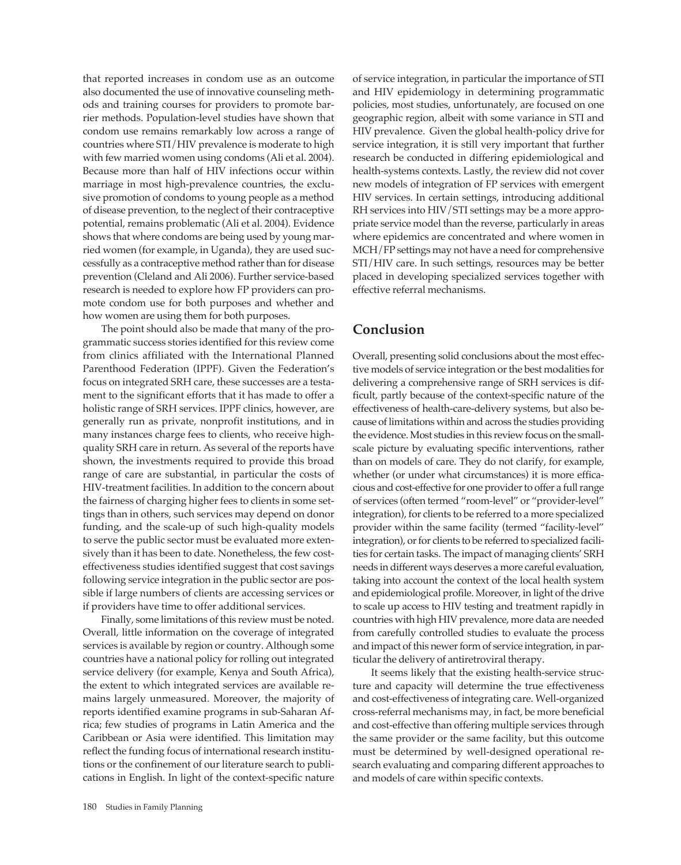that reported increases in condom use as an outcome also documented the use of innovative counseling methods and training courses for providers to promote barrier methods. Population-level studies have shown that condom use remains remarkably low across a range of countries where STI/HIV prevalence is moderate to high with few married women using condoms (Ali et al. 2004). Because more than half of HIV infections occur within marriage in most high-prevalence countries, the exclusive promotion of condoms to young people as a method of disease prevention, to the neglect of their contraceptive potential, remains problematic (Ali et al. 2004). Evidence shows that where condoms are being used by young married women (for example, in Uganda), they are used successfully as a contraceptive method rather than for disease prevention (Cleland and Ali 2006). Further service-based research is needed to explore how FP providers can promote condom use for both purposes and whether and how women are using them for both purposes.

The point should also be made that many of the programmatic success stories identified for this review come from clinics affiliated with the International Planned Parenthood Federation (IPPF). Given the Federation's focus on integrated SRH care, these successes are a testament to the significant efforts that it has made to offer a holistic range of SRH services. IPPF clinics, however, are generally run as private, nonprofit institutions, and in many instances charge fees to clients, who receive highquality SRH care in return. As several of the reports have shown, the investments required to provide this broad range of care are substantial, in particular the costs of HIV-treatment facilities. In addition to the concern about the fairness of charging higher fees to clients in some settings than in others, such services may depend on donor funding, and the scale-up of such high-quality models to serve the public sector must be evaluated more extensively than it has been to date. Nonetheless, the few costeffectiveness studies identified suggest that cost savings following service integration in the public sector are possible if large numbers of clients are accessing services or if providers have time to offer additional services.

Finally, some limitations of this review must be noted. Overall, little information on the coverage of integrated services is available by region or country. Although some countries have a national policy for rolling out integrated service delivery (for example, Kenya and South Africa), the extent to which integrated services are available remains largely unmeasured. Moreover, the majority of reports identified examine programs in sub-Saharan Africa; few studies of programs in Latin America and the Caribbean or Asia were identified. This limitation may reflect the funding focus of international research institutions or the confinement of our literature search to publications in English. In light of the context-specific nature

of service integration, in particular the importance of STI and HIV epidemiology in determining programmatic policies, most studies, unfortunately, are focused on one geographic region, albeit with some variance in STI and HIV prevalence. Given the global health-policy drive for service integration, it is still very important that further research be conducted in differing epidemiological and health-systems contexts. Lastly, the review did not cover new models of integration of FP services with emergent HIV services. In certain settings, introducing additional RH services into HIV/STI settings may be a more appropriate service model than the reverse, particularly in areas where epidemics are concentrated and where women in MCH/FP settings may not have a need for comprehensive STI/HIV care. In such settings, resources may be better placed in developing specialized services together with effective referral mechanisms.

# **Conclusion**

Overall, presenting solid conclusions about the most effective models of service integration or the best modalities for delivering a comprehensive range of SRH services is difficult, partly because of the context-specific nature of the effectiveness of health-care-delivery systems, but also because of limitations within and across the studies providing the evidence. Most studies in this review focus on the smallscale picture by evaluating specific interventions, rather than on models of care. They do not clarify, for example, whether (or under what circumstances) it is more efficacious and cost-effective for one provider to offer a full range of services (often termed "room-level" or "provider-level" integration), for clients to be referred to a more specialized provider within the same facility (termed "facility-level" integration), or for clients to be referred to specialized facilities for certain tasks. The impact of managing clients' SRH needs in different ways deserves a more careful evaluation, taking into account the context of the local health system and epidemiological profile. Moreover, in light of the drive to scale up access to HIV testing and treatment rapidly in countries with high HIV prevalence, more data are needed from carefully controlled studies to evaluate the process and impact of this newer form of service integration, in particular the delivery of antiretroviral therapy.

It seems likely that the existing health-service structure and capacity will determine the true effectiveness and cost-effectiveness of integrating care. Well-organized cross-referral mechanisms may, in fact, be more beneficial and cost-effective than offering multiple services through the same provider or the same facility, but this outcome must be determined by well-designed operational research evaluating and comparing different approaches to and models of care within specific contexts.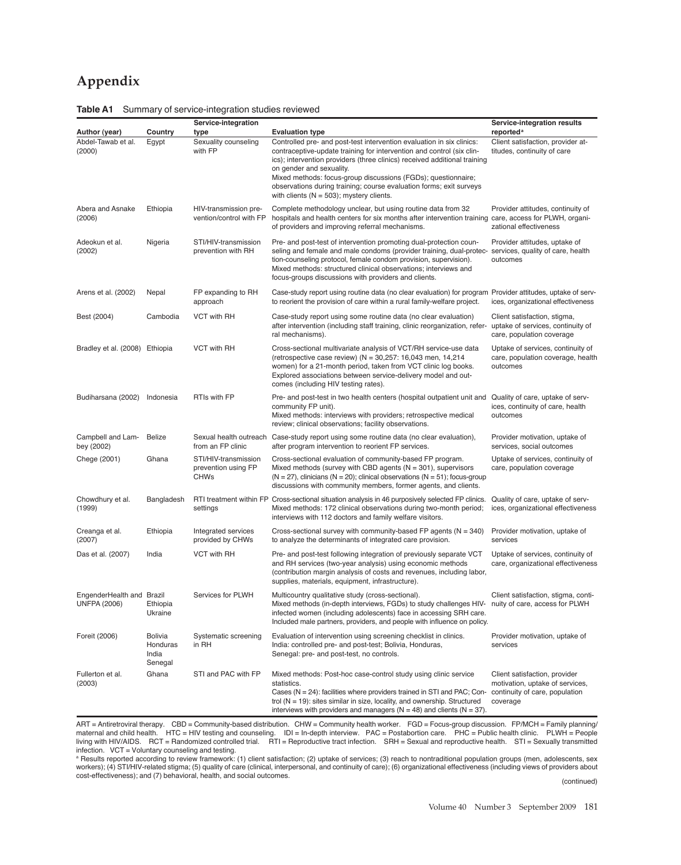# **Appendix**

|                                                  |                                                | Service-integration                                        |                                                                                                                                                                                                                                                                                                                                                                                                                                                 | Service-integration results                                                        |
|--------------------------------------------------|------------------------------------------------|------------------------------------------------------------|-------------------------------------------------------------------------------------------------------------------------------------------------------------------------------------------------------------------------------------------------------------------------------------------------------------------------------------------------------------------------------------------------------------------------------------------------|------------------------------------------------------------------------------------|
| Author (year)                                    | Country                                        | type                                                       | <b>Evaluation type</b>                                                                                                                                                                                                                                                                                                                                                                                                                          | reported <sup>a</sup>                                                              |
| Abdel-Tawab et al.<br>(2000)                     | Egypt                                          | Sexuality counseling<br>with FP                            | Controlled pre- and post-test intervention evaluation in six clinics:<br>contraceptive-update training for intervention and control (six clin-<br>ics); intervention providers (three clinics) received additional training<br>on gender and sexuality.<br>Mixed methods: focus-group discussions (FGDs); questionnaire;<br>observations during training; course evaluation forms; exit surveys<br>with clients ( $N = 503$ ); mystery clients. | Client satisfaction, provider at-<br>titudes, continuity of care                   |
| Abera and Asnake<br>(2006)                       | Ethiopia                                       | HIV-transmission pre-<br>vention/control with FP           | Complete methodology unclear, but using routine data from 32<br>hospitals and health centers for six months after intervention training care, access for PLWH, organi-<br>of providers and improving referral mechanisms.                                                                                                                                                                                                                       | Provider attitudes, continuity of<br>zational effectiveness                        |
| Adeokun et al.<br>(2002)                         | Nigeria                                        | STI/HIV-transmission<br>prevention with RH                 | Pre- and post-test of intervention promoting dual-protection coun-<br>seling and female and male condoms (provider training, dual-protec- services, quality of care, health<br>tion-counseling protocol, female condom provision, supervision).<br>Mixed methods: structured clinical observations; interviews and<br>focus-groups discussions with providers and clients.                                                                      | Provider attitudes, uptake of<br>outcomes                                          |
| Arens et al. (2002)                              | Nepal                                          | FP expanding to RH<br>approach                             | Case-study report using routine data (no clear evaluation) for program Provider attitudes, uptake of serv-<br>to reorient the provision of care within a rural family-welfare project.                                                                                                                                                                                                                                                          | ices, organizational effectiveness                                                 |
| Best (2004)                                      | Cambodia                                       | <b>VCT with RH</b>                                         | Case-study report using some routine data (no clear evaluation)<br>after intervention (including staff training, clinic reorganization, refer- uptake of services, continuity of<br>ral mechanisms).                                                                                                                                                                                                                                            | Client satisfaction, stigma,<br>care, population coverage                          |
| Bradley et al. (2008) Ethiopia                   |                                                | <b>VCT with RH</b>                                         | Cross-sectional multivariate analysis of VCT/RH service-use data<br>(retrospective case review) ( $N = 30,257$ : 16,043 men, 14,214<br>women) for a 21-month period, taken from VCT clinic log books.<br>Explored associations between service-delivery model and out-<br>comes (including HIV testing rates).                                                                                                                                  | Uptake of services, continuity of<br>care, population coverage, health<br>outcomes |
| Budiharsana (2002)                               | Indonesia                                      | <b>RTIs with FP</b>                                        | Pre- and post-test in two health centers (hospital outpatient unit and Quality of care, uptake of serv-<br>community FP unit).<br>Mixed methods: interviews with providers; retrospective medical<br>review; clinical observations; facility observations.                                                                                                                                                                                      | ices, continuity of care, health<br>outcomes                                       |
| Campbell and Lam-<br>bey (2002)                  | Belize                                         | from an FP clinic                                          | Sexual health outreach Case-study report using some routine data (no clear evaluation),<br>after program intervention to reorient FP services.                                                                                                                                                                                                                                                                                                  | Provider motivation, uptake of<br>services, social outcomes                        |
| Chege (2001)                                     | Ghana                                          | STI/HIV-transmission<br>prevention using FP<br><b>CHWs</b> | Cross-sectional evaluation of community-based FP program.<br>Mixed methods (survey with CBD agents ( $N = 301$ ), supervisors<br>$(N = 27)$ , clinicians $(N = 20)$ ; clinical observations $(N = 51)$ ; focus-group<br>discussions with community members, former agents, and clients.                                                                                                                                                         | Uptake of services, continuity of<br>care, population coverage                     |
| Chowdhury et al.<br>(1999)                       | Bangladesh                                     | settings                                                   | RTI treatment within FP Cross-sectional situation analysis in 46 purposively selected FP clinics.<br>Mixed methods: 172 clinical observations during two-month period;<br>interviews with 112 doctors and family welfare visitors.                                                                                                                                                                                                              | Quality of care, uptake of serv-<br>ices, organizational effectiveness             |
| Creanga et al.<br>(2007)                         | Ethiopia                                       | Integrated services<br>provided by CHWs                    | Cross-sectional survey with community-based FP agents ( $N = 340$ )<br>to analyze the determinants of integrated care provision.                                                                                                                                                                                                                                                                                                                | Provider motivation, uptake of<br>services                                         |
| Das et al. (2007)                                | India                                          | <b>VCT with RH</b>                                         | Pre- and post-test following integration of previously separate VCT<br>and RH services (two-year analysis) using economic methods<br>(contribution margin analysis of costs and revenues, including labor,<br>supplies, materials, equipment, infrastructure).                                                                                                                                                                                  | Uptake of services, continuity of<br>care, organizational effectiveness            |
| EngenderHealth and Brazil<br><b>UNFPA (2006)</b> | Ethiopia<br>Ukraine                            | Services for PLWH                                          | Multicountry qualitative study (cross-sectional).<br>Mixed methods (in-depth interviews, FGDs) to study challenges HIV-<br>infected women (including adolescents) face in accessing SRH care.<br>Included male partners, providers, and people with influence on policy.                                                                                                                                                                        | Client satisfaction, stigma, conti-<br>nuity of care, access for PLWH              |
| Foreit (2006)                                    | <b>Bolivia</b><br>Honduras<br>India<br>Senegal | Systematic screening<br>in RH                              | Evaluation of intervention using screening checklist in clinics.<br>India: controlled pre- and post-test; Bolivia, Honduras,<br>Senegal: pre- and post-test, no controls.                                                                                                                                                                                                                                                                       | Provider motivation, uptake of<br>services                                         |
| Fullerton et al.<br>(2003)                       | Ghana                                          | STI and PAC with FP                                        | Mixed methods: Post-hoc case-control study using clinic service<br>statistics.<br>Cases ( $N = 24$ ): facilities where providers trained in STI and PAC; Con- continuity of care, population<br>trol $(N = 19)$ : sites similar in size, locality, and ownership. Structured<br>interviews with providers and managers ( $N = 48$ ) and clients ( $N = 37$ ).                                                                                   | Client satisfaction, provider<br>motivation, uptake of services,<br>coverage       |

#### **Table A1** Summary of service-integration studies reviewed

ART = Antiretroviral therapy. CBD = Community-based distribution. CHW = Community health worker. FGD = Focus-group discussion. FP/MCH = Family planning/ maternal and child health. HTC = HIV testing and counseling. IDI = In-depth interview. PAC = Postabortion care. PHC = Public health clinic. PLWH = People living with HIV/AIDS. RCT = Randomized controlled trial. RTI = Reproductive tract infection. SRH = Sexual and reproductive health. STI = Sexually transmitted infection. VCT = Voluntary counseling and testing.<br>ª Results reported according to review framework: (1) client satisfaction; (2) uptake of services; (3) reach to nontraditional population groups (men, adolescents, sex

workers); (4) STI/HIV-related stigma; (5) quality of care (clinical, interpersonal, and continuity of care); (6) organizational effectiveness (including views of providers about cost-effectiveness); and (7) behavioral, health, and social outcomes. (continued)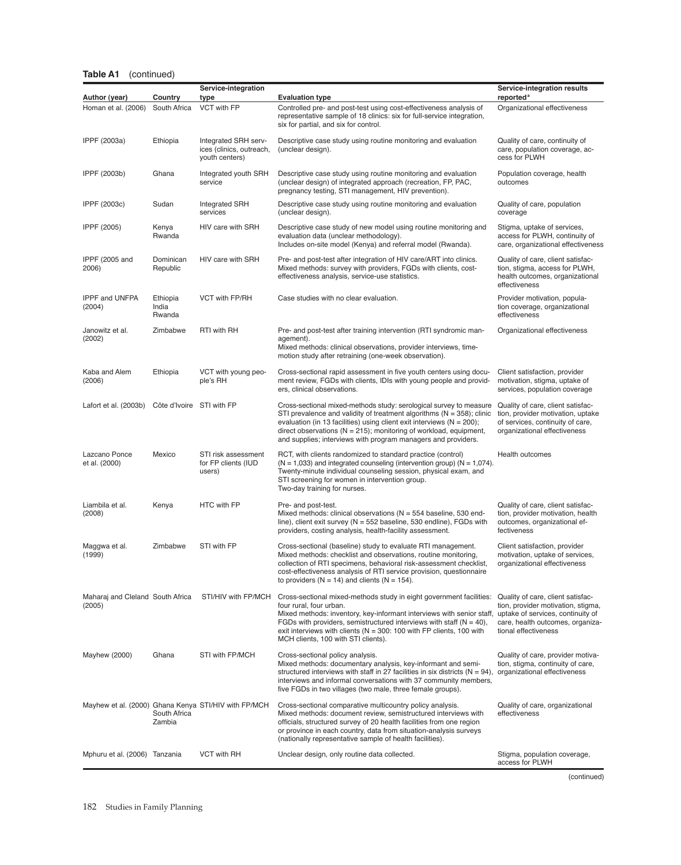#### **Table A1** (continued)

|                                            |                             | Service-integration                                                |                                                                                                                                                                                                                                                                                                                                                                                                         | Service-integration results                                                                                                                |
|--------------------------------------------|-----------------------------|--------------------------------------------------------------------|---------------------------------------------------------------------------------------------------------------------------------------------------------------------------------------------------------------------------------------------------------------------------------------------------------------------------------------------------------------------------------------------------------|--------------------------------------------------------------------------------------------------------------------------------------------|
| Author (year)<br>Homan et al. (2006)       | Country<br>South Africa     | type<br>VCT with FP                                                | <b>Evaluation type</b><br>Controlled pre- and post-test using cost-effectiveness analysis of                                                                                                                                                                                                                                                                                                            | reported <sup>a</sup><br>Organizational effectiveness                                                                                      |
|                                            |                             |                                                                    | representative sample of 18 clinics: six for full-service integration,<br>six for partial, and six for control.                                                                                                                                                                                                                                                                                         |                                                                                                                                            |
| IPPF (2003a)                               | Ethiopia                    | Integrated SRH serv-<br>ices (clinics, outreach,<br>youth centers) | Descriptive case study using routine monitoring and evaluation<br>(unclear design).                                                                                                                                                                                                                                                                                                                     | Quality of care, continuity of<br>care, population coverage, ac-<br>cess for PLWH                                                          |
| IPPF (2003b)                               | Ghana                       | Integrated youth SRH<br>service                                    | Descriptive case study using routine monitoring and evaluation<br>(unclear design) of integrated approach (recreation, FP, PAC,<br>pregnancy testing, STI management, HIV prevention).                                                                                                                                                                                                                  | Population coverage, health<br>outcomes                                                                                                    |
| IPPF (2003c)                               | Sudan                       | Integrated SRH<br>services                                         | Descriptive case study using routine monitoring and evaluation<br>(unclear design).                                                                                                                                                                                                                                                                                                                     | Quality of care, population<br>coverage                                                                                                    |
| <b>IPPF (2005)</b>                         | Kenya<br>Rwanda             | HIV care with SRH                                                  | Descriptive case study of new model using routine monitoring and<br>evaluation data (unclear methodology).<br>Includes on-site model (Kenya) and referral model (Rwanda).                                                                                                                                                                                                                               | Stigma, uptake of services,<br>access for PLWH, continuity of<br>care, organizational effectiveness                                        |
| <b>IPPF</b> (2005 and<br>2006)             | Dominican<br>Republic       | HIV care with SRH                                                  | Pre- and post-test after integration of HIV care/ART into clinics.<br>Mixed methods: survey with providers, FGDs with clients, cost-<br>effectiveness analysis, service-use statistics.                                                                                                                                                                                                                 | Quality of care, client satisfac-<br>tion, stigma, access for PLWH,<br>health outcomes, organizational<br>effectiveness                    |
| <b>IPPF and UNFPA</b><br>(2004)            | Ethiopia<br>India<br>Rwanda | <b>VCT with FP/RH</b>                                              | Case studies with no clear evaluation.                                                                                                                                                                                                                                                                                                                                                                  | Provider motivation, popula-<br>tion coverage, organizational<br>effectiveness                                                             |
| Janowitz et al.                            | Zimbabwe                    | RTI with RH                                                        | Pre- and post-test after training intervention (RTI syndromic man-                                                                                                                                                                                                                                                                                                                                      | Organizational effectiveness                                                                                                               |
| (2002)                                     |                             |                                                                    | agement).<br>Mixed methods: clinical observations, provider interviews, time-<br>motion study after retraining (one-week observation).                                                                                                                                                                                                                                                                  |                                                                                                                                            |
| Kaba and Alem<br>(2006)                    | Ethiopia                    | VCT with young peo-<br>ple's RH                                    | Cross-sectional rapid assessment in five youth centers using docu-<br>ment review, FGDs with clients, IDIs with young people and provid-<br>ers, clinical observations.                                                                                                                                                                                                                                 | Client satisfaction, provider<br>motivation, stigma, uptake of<br>services, population coverage                                            |
| Lafort et al. (2003b)                      | Côte d'Ivoire STI with FP   |                                                                    | Cross-sectional mixed-methods study: serological survey to measure<br>STI prevalence and validity of treatment algorithms ( $N = 358$ ); clinic<br>evaluation (in 13 facilities) using client exit interviews ( $N = 200$ );<br>direct observations ( $N = 215$ ); monitoring of workload, equipment,<br>and supplies; interviews with program managers and providers.                                  | Quality of care, client satisfac-<br>tion, provider motivation, uptake<br>of services, continuity of care,<br>organizational effectiveness |
| Lazcano Ponce<br>et al. (2000)             | Mexico                      | STI risk assessment<br>for FP clients (IUD<br>users)               | RCT, with clients randomized to standard practice (control)<br>$(N = 1,033)$ and integrated counseling (intervention group) ( $N = 1,074$ ).<br>Twenty-minute individual counseling session, physical exam, and<br>STI screening for women in intervention group.<br>Two-day training for nurses.                                                                                                       | Health outcomes                                                                                                                            |
| Liambila et al.<br>(2008)                  | Kenya                       | HTC with FP                                                        | Pre- and post-test.<br>Mixed methods: clinical observations ( $N = 554$ baseline, 530 end-<br>line), client exit survey ( $N = 552$ baseline, 530 endline), FGDs with<br>providers, costing analysis, health-facility assessment.                                                                                                                                                                       | Quality of care, client satisfac-<br>tion, provider motivation, health<br>outcomes, organizational ef-<br>fectiveness                      |
| Maggwa et al.<br>(1999)                    | Zimbabwe                    | STI with FP                                                        | Cross-sectional (baseline) study to evaluate RTI management.<br>Mixed methods: checklist and observations, routine monitoring,<br>collection of RTI specimens, behavioral risk-assessment checklist,<br>cost-effectiveness analysis of RTI service provision, questionnaire<br>to providers ( $N = 14$ ) and clients ( $N = 154$ ).                                                                     | Client satisfaction, provider<br>motivation, uptake of services,<br>organizational effectiveness                                           |
| Maharaj and Cleland South Africa<br>(2005) |                             | STI/HIV with FP/MCH                                                | Cross-sectional mixed-methods study in eight government facilities:<br>four rural, four urban.<br>Mixed methods: inventory, key-informant interviews with senior staff, uptake of services, continuity of<br>FGDs with providers, semistructured interviews with staff ( $N = 40$ ),<br>exit interviews with clients ( $N = 300$ : 100 with FP clients, 100 with<br>MCH clients, 100 with STI clients). | Quality of care, client satisfac-<br>tion, provider motivation, stigma,<br>care, health outcomes, organiza-<br>tional effectiveness        |
| Mayhew (2000)                              | Ghana                       | STI with FP/MCH                                                    | Cross-sectional policy analysis.<br>Mixed methods: documentary analysis, key-informant and semi-<br>structured interviews with staff in 27 facilities in six districts ( $N = 94$ ),<br>interviews and informal conversations with 37 community members,<br>five FGDs in two villages (two male, three female groups).                                                                                  | Quality of care, provider motiva-<br>tion, stigma, continuity of care,<br>organizational effectiveness                                     |
|                                            | South Africa<br>Zambia      | Mayhew et al. (2000) Ghana Kenya STI/HIV with FP/MCH               | Cross-sectional comparative multicountry policy analysis.<br>Mixed methods: document review, semistructured interviews with<br>officials, structured survey of 20 health facilities from one region<br>or province in each country, data from situation-analysis surveys<br>(nationally representative sample of health facilities).                                                                    | Quality of care, organizational<br>effectiveness                                                                                           |
| Mphuru et al. (2006) Tanzania              |                             | <b>VCT with RH</b>                                                 | Unclear design, only routine data collected.                                                                                                                                                                                                                                                                                                                                                            | Stigma, population coverage,<br>access for PLWH                                                                                            |

(continued)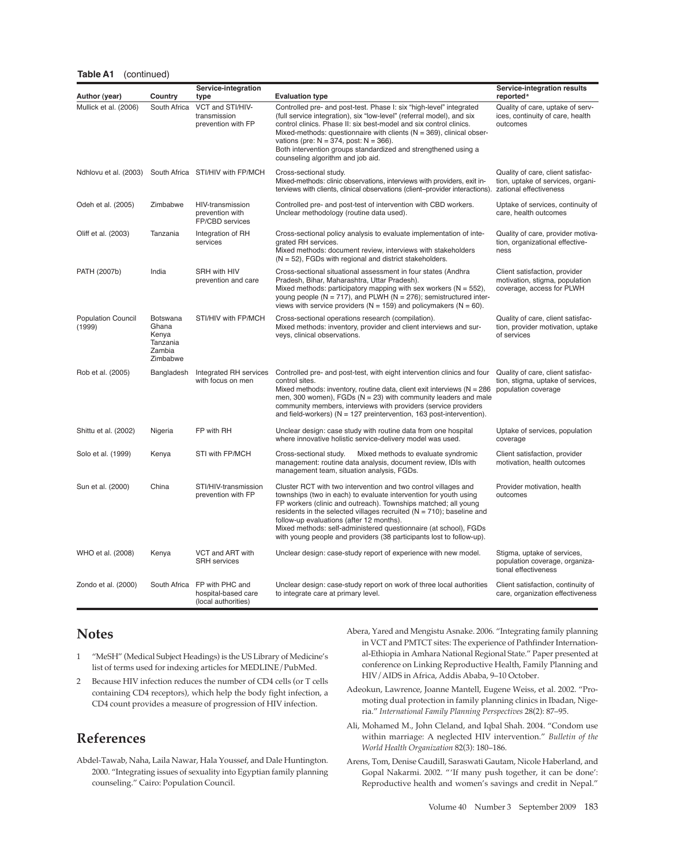#### **Table A1** (continued)

|                                     |                                                              | Service-integration                                                        |                                                                                                                                                                                                                                                                                                                                                                                                                                                                          | Service-integration results                                                                      |
|-------------------------------------|--------------------------------------------------------------|----------------------------------------------------------------------------|--------------------------------------------------------------------------------------------------------------------------------------------------------------------------------------------------------------------------------------------------------------------------------------------------------------------------------------------------------------------------------------------------------------------------------------------------------------------------|--------------------------------------------------------------------------------------------------|
| Author (year)                       | Country                                                      | type                                                                       | <b>Evaluation type</b>                                                                                                                                                                                                                                                                                                                                                                                                                                                   | reported <sup>a</sup>                                                                            |
| Mullick et al. (2006)               | South Africa                                                 | VCT and STI/HIV-<br>transmission<br>prevention with FP                     | Controlled pre- and post-test. Phase I: six "high-level" integrated<br>(full service integration), six "low-level" (referral model), and six<br>control clinics. Phase II: six best-model and six control clinics.<br>Mixed-methods: questionnaire with clients ( $N = 369$ ), clinical obser-<br>vations (pre: $N = 374$ , post: $N = 366$ ).<br>Both intervention groups standardized and strengthened using a<br>counseling algorithm and job aid.                    | Quality of care, uptake of serv-<br>ices, continuity of care, health<br>outcomes                 |
|                                     |                                                              | Ndhlovu et al. (2003) South Africa STI/HIV with FP/MCH                     | Cross-sectional study.<br>Mixed-methods: clinic observations, interviews with providers, exit in-<br>terviews with clients, clinical observations (client-provider interactions).                                                                                                                                                                                                                                                                                        | Quality of care, client satisfac-<br>tion, uptake of services, organi-<br>zational effectiveness |
| Odeh et al. (2005)                  | Zimbabwe                                                     | <b>HIV-transmission</b><br>prevention with<br>FP/CBD services              | Controlled pre- and post-test of intervention with CBD workers.<br>Unclear methodology (routine data used).                                                                                                                                                                                                                                                                                                                                                              | Uptake of services, continuity of<br>care, health outcomes                                       |
| Oliff et al. (2003)                 | Tanzania                                                     | Integration of RH<br>services                                              | Cross-sectional policy analysis to evaluate implementation of inte-<br>grated RH services.<br>Mixed methods: document review, interviews with stakeholders<br>$(N = 52)$ , FGDs with regional and district stakeholders.                                                                                                                                                                                                                                                 | Quality of care, provider motiva-<br>tion, organizational effective-<br>ness                     |
| PATH (2007b)                        | India                                                        | SRH with HIV<br>prevention and care                                        | Cross-sectional situational assessment in four states (Andhra<br>Pradesh, Bihar, Maharashtra, Uttar Pradesh).<br>Mixed methods: participatory mapping with sex workers ( $N = 552$ ),<br>young people ( $N = 717$ ), and PLWH ( $N = 276$ ); semistructured inter-<br>views with service providers ( $N = 159$ ) and policymakers ( $N = 60$ ).                                                                                                                          | Client satisfaction, provider<br>motivation, stigma, population<br>coverage, access for PLWH     |
| <b>Population Council</b><br>(1999) | Botswana<br>Ghana<br>Kenya<br>Tanzania<br>Zambia<br>Zimbabwe | STI/HIV with FP/MCH                                                        | Cross-sectional operations research (compilation).<br>Mixed methods: inventory, provider and client interviews and sur-<br>veys, clinical observations.                                                                                                                                                                                                                                                                                                                  | Quality of care, client satisfac-<br>tion, provider motivation, uptake<br>of services            |
| Rob et al. (2005)                   | Bangladesh                                                   | Integrated RH services<br>with focus on men                                | Controlled pre- and post-test, with eight intervention clinics and four Quality of care, client satisfac-<br>control sites.<br>Mixed methods: inventory, routine data, client exit interviews ( $N = 286$<br>men, 300 women), FGDs ( $N = 23$ ) with community leaders and male<br>community members, interviews with providers (service providers<br>and field-workers) ( $N = 127$ preintervention, 163 post-intervention).                                            | tion, stigma, uptake of services,<br>population coverage                                         |
| Shittu et al. (2002)                | Nigeria                                                      | FP with RH                                                                 | Unclear design: case study with routine data from one hospital<br>where innovative holistic service-delivery model was used.                                                                                                                                                                                                                                                                                                                                             | Uptake of services, population<br>coverage                                                       |
| Solo et al. (1999)                  | Kenya                                                        | STI with FP/MCH                                                            | Mixed methods to evaluate syndromic<br>Cross-sectional study.<br>management: routine data analysis, document review, IDIs with<br>management team, situation analysis, FGDs.                                                                                                                                                                                                                                                                                             | Client satisfaction, provider<br>motivation, health outcomes                                     |
| Sun et al. (2000)                   | China                                                        | STI/HIV-transmission<br>prevention with FP                                 | Cluster RCT with two intervention and two control villages and<br>townships (two in each) to evaluate intervention for youth using<br>FP workers (clinic and outreach). Townships matched; all young<br>residents in the selected villages recruited ( $N = 710$ ); baseline and<br>follow-up evaluations (after 12 months).<br>Mixed methods: self-administered questionnaire (at school), FGDs<br>with young people and providers (38 participants lost to follow-up). | Provider motivation, health<br>outcomes                                                          |
| WHO et al. (2008)                   | Kenya                                                        | VCT and ART with<br><b>SRH</b> services                                    | Unclear design: case-study report of experience with new model.                                                                                                                                                                                                                                                                                                                                                                                                          | Stigma, uptake of services,<br>population coverage, organiza-<br>tional effectiveness            |
| Zondo et al. (2000)                 |                                                              | South Africa FP with PHC and<br>hospital-based care<br>(local authorities) | Unclear design: case-study report on work of three local authorities<br>to integrate care at primary level.                                                                                                                                                                                                                                                                                                                                                              | Client satisfaction, continuity of<br>care, organization effectiveness                           |

## **Notes**

- 1 "MeSH" (Medical Subject Headings) is the US Library of Medicine's list of terms used for indexing articles for MEDLINE/PubMed.
- 2 Because HIV infection reduces the number of CD4 cells (or T cells containing CD4 receptors), which help the body fight infection, a CD4 count provides a measure of progression of HIV infection.

# **References**

- Abdel-Tawab, Naha, Laila Nawar, Hala Youssef, and Dale Huntington. 2000. "Integrating issues of sexuality into Egyptian family planning counseling." Cairo: Population Council.
- Abera, Yared and Mengistu Asnake. 2006. "Integrating family planning in VCT and PMTCT sites: The experience of Pathfinder International-Ethiopia in Amhara National Regional State." Paper presented at conference on Linking Reproductive Health, Family Planning and HIV/AIDS in Africa, Addis Ababa, 9–10 October.
- Adeokun, Lawrence, Joanne Mantell, Eugene Weiss, et al. 2002. "Promoting dual protection in family planning clinics in Ibadan, Nigeria." *International Family Planning Perspectives* 28(2): 87–95.
- Ali, Mohamed M., John Cleland, and Iqbal Shah. 2004. "Condom use within marriage: A neglected HIV intervention." *Bulletin of the World Health Organization* 82(3): 180–186.
- Arens, Tom, Denise Caudill, Saraswati Gautam, Nicole Haberland, and Gopal Nakarmi. 2002. "'If many push together, it can be done': Reproductive health and women's savings and credit in Nepal."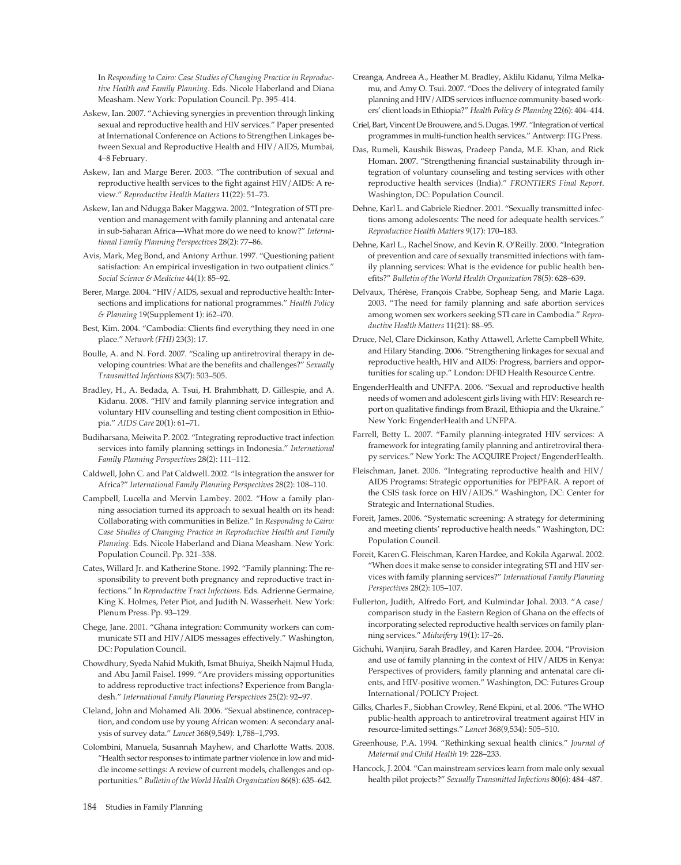In *Responding to Cairo: Case Studies of Changing Practice in Reproductive Health and Family Planning*. Eds. Nicole Haberland and Diana Measham. New York: Population Council. Pp. 395–414.

- Askew, Ian. 2007. "Achieving synergies in prevention through linking sexual and reproductive health and HIV services." Paper presented at International Conference on Actions to Strengthen Linkages between Sexual and Reproductive Health and HIV/AIDS, Mumbai, 4–8 February.
- Askew, Ian and Marge Berer. 2003. "The contribution of sexual and reproductive health services to the fight against HIV/AIDS: A review." *Reproductive Health Matters* 11(22): 51–73.
- Askew, Ian and Ndugga Baker Maggwa. 2002. "Integration of STI prevention and management with family planning and antenatal care in sub-Saharan Africa—What more do we need to know?" *International Family Planning Perspectives* 28(2): 77–86.
- Avis, Mark, Meg Bond, and Antony Arthur. 1997. "Questioning patient satisfaction: An empirical investigation in two outpatient clinics." *Social Science & Medicine* 44(1): 85–92.
- Berer, Marge. 2004. "HIV/AIDS, sexual and reproductive health: Intersections and implications for national programmes." *Health Policy & Planning* 19(Supplement 1): i62–i70.
- Best, Kim. 2004. "Cambodia: Clients find everything they need in one place." *Network (FHI)* 23(3): 17.
- Boulle, A. and N. Ford. 2007. "Scaling up antiretroviral therapy in developing countries: What are the benefits and challenges?" *Sexually Transmitted Infections* 83(7): 503–505.
- Bradley, H., A. Bedada, A. Tsui, H. Brahmbhatt, D. Gillespie, and A. Kidanu. 2008. "HIV and family planning service integration and voluntary HIV counselling and testing client composition in Ethiopia." *AIDS Care* 20(1): 61–71.
- Budiharsana, Meiwita P. 2002. "Integrating reproductive tract infection services into family planning settings in Indonesia." *International Family Planning Perspectives* 28(2): 111–112.
- Caldwell, John C. and Pat Caldwell. 2002. "Is integration the answer for Africa?" *International Family Planning Perspectives* 28(2): 108–110.
- Campbell, Lucella and Mervin Lambey. 2002. "How a family planning association turned its approach to sexual health on its head: Collaborating with communities in Belize." In *Responding to Cairo: Case Studies of Changing Practice in Reproductive Health and Family Planning.* Eds*.* Nicole Haberland and Diana Measham. New York: Population Council. Pp. 321–338.
- Cates, Willard Jr. and Katherine Stone. 1992. "Family planning: The responsibility to prevent both pregnancy and reproductive tract infections." In *Reproductive Tract Infections.* Eds*.* Adrienne Germaine, King K. Holmes, Peter Piot, and Judith N. Wasserheit. New York: Plenum Press. Pp. 93–129.
- Chege, Jane. 2001. "Ghana integration: Community workers can communicate STI and HIV/AIDS messages effectively." Washington, DC: Population Council.
- Chowdhury, Syeda Nahid Mukith, Ismat Bhuiya, Sheikh Najmul Huda, and Abu Jamil Faisel. 1999. "Are providers missing opportunities to address reproductive tract infections? Experience from Bangladesh." *International Family Planning Perspectives* 25(2): 92–97.
- Cleland, John and Mohamed Ali. 2006. "Sexual abstinence, contraception, and condom use by young African women: A secondary analysis of survey data." *Lancet* 368(9,549): 1,788–1,793.
- Colombini, Manuela, Susannah Mayhew, and Charlotte Watts. 2008. "Health sector responses to intimate partner violence in low and middle income settings: A review of current models, challenges and opportunities." *Bulletin of the World Health Organization* 86(8): 635–642.
- Creanga, Andreea A., Heather M. Bradley, Aklilu Kidanu, Yilma Melkamu, and Amy O. Tsui. 2007. "Does the delivery of integrated family planning and HIV/AIDS services influence community-based workers' client loads in Ethiopia?" *Health Policy & Planning* 22(6): 404–414.
- Criel, Bart, Vincent De Brouwere, and S. Dugas. 1997. "Integration of vertical programmes in multi-function health services." Antwerp: ITG Press.
- Das, Rumeli, Kaushik Biswas, Pradeep Panda, M.E. Khan, and Rick Homan. 2007. "Strengthening financial sustainability through integration of voluntary counseling and testing services with other reproductive health services (India)." *FRONTIERS Final Report*. Washington, DC: Population Council.
- Dehne, Karl L. and Gabriele Riedner. 2001. "Sexually transmitted infections among adolescents: The need for adequate health services." *Reproductive Health Matters* 9(17): 170–183.
- Dehne, Karl L., Rachel Snow, and Kevin R. O'Reilly. 2000. "Integration of prevention and care of sexually transmitted infections with family planning services: What is the evidence for public health benefits?" *Bulletin of the World Health Organization* 78(5): 628–639.
- Delvaux, Thérèse, François Crabbe, Sopheap Seng, and Marie Laga. 2003. "The need for family planning and safe abortion services among women sex workers seeking STI care in Cambodia." *Reproductive Health Matters* 11(21): 88–95.
- Druce, Nel, Clare Dickinson, Kathy Attawell, Arlette Campbell White, and Hilary Standing. 2006. "Strengthening linkages for sexual and reproductive health, HIV and AIDS: Progress, barriers and opportunities for scaling up." London: DFID Health Resource Centre.
- EngenderHealth and UNFPA. 2006. "Sexual and reproductive health needs of women and adolescent girls living with HIV: Research report on qualitative findings from Brazil, Ethiopia and the Ukraine." New York: EngenderHealth and UNFPA.
- Farrell, Betty L. 2007. "Family planning-integrated HIV services: A framework for integrating family planning and antiretroviral therapy services." New York: The ACQUIRE Project/EngenderHealth.
- Fleischman, Janet. 2006. "Integrating reproductive health and HIV/ AIDS Programs: Strategic opportunities for PEPFAR. A report of the CSIS task force on HIV/AIDS." Washington, DC: Center for Strategic and International Studies.
- Foreit, James. 2006. "Systematic screening: A strategy for determining and meeting clients' reproductive health needs." Washington, DC: Population Council.
- Foreit, Karen G. Fleischman, Karen Hardee, and Kokila Agarwal. 2002. "When does it make sense to consider integrating STI and HIV services with family planning services?" *International Family Planning Perspectives* 28(2): 105–107.
- Fullerton, Judith, Alfredo Fort, and Kulmindar Johal. 2003. "A case/ comparison study in the Eastern Region of Ghana on the effects of incorporating selected reproductive health services on family planning services." *Midwifery* 19(1): 17–26.
- Gichuhi, Wanjiru, Sarah Bradley, and Karen Hardee. 2004. "Provision and use of family planning in the context of HIV/AIDS in Kenya: Perspectives of providers, family planning and antenatal care clients, and HIV-positive women." Washington, DC: Futures Group International/POLICY Project.
- Gilks, Charles F., Siobhan Crowley, René Ekpini, et al. 2006. "The WHO public-health approach to antiretroviral treatment against HIV in resource-limited settings." *Lancet* 368(9,534): 505–510.
- Greenhouse, P.A. 1994. "Rethinking sexual health clinics." *Journal of Maternal and Child Health* 19: 228–233.
- Hancock, J. 2004. "Can mainstream services learn from male only sexual health pilot projects?" *Sexually Transmitted Infections* 80(6): 484–487.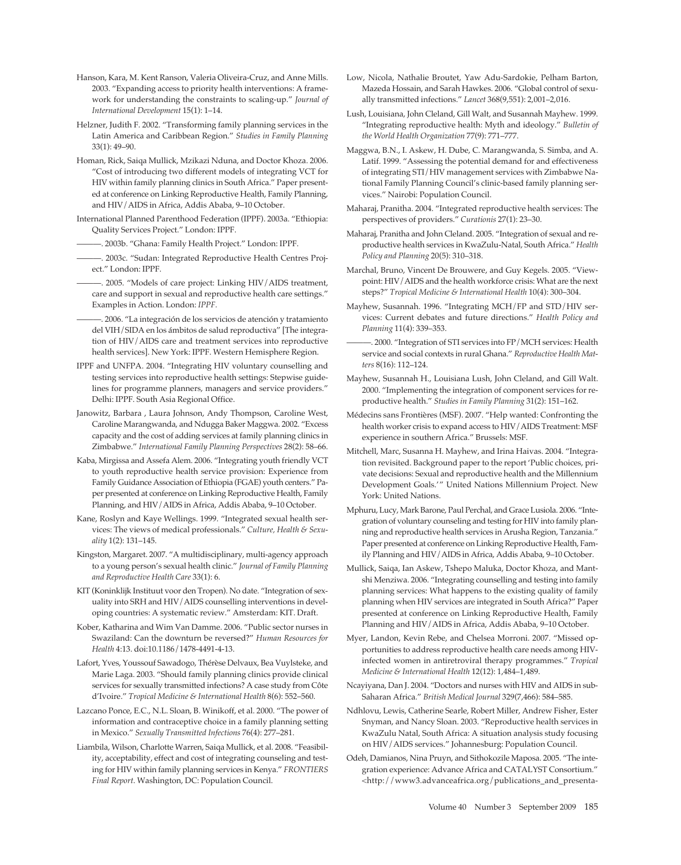- Hanson, Kara, M. Kent Ranson, Valeria Oliveira-Cruz, and Anne Mills. 2003. "Expanding access to priority health interventions: A framework for understanding the constraints to scaling-up." *Journal of International Development* 15(1): 1–14.
- Helzner, Judith F. 2002. "Transforming family planning services in the Latin America and Caribbean Region." *Studies in Family Planning* 33(1): 49–90.
- Homan, Rick, Saiqa Mullick, Mzikazi Nduna, and Doctor Khoza. 2006. "Cost of introducing two different models of integrating VCT for HIV within family planning clinics in South Africa." Paper presented at conference on Linking Reproductive Health, Family Planning, and HIV/AIDS in Africa, Addis Ababa, 9–10 October.
- International Planned Parenthood Federation (IPPF). 2003a. "Ethiopia: Quality Services Project." London: IPPF.
	- ———. 2003b. "Ghana: Family Health Project." London: IPPF.
- ———. 2003c. "Sudan: Integrated Reproductive Health Centres Project." London: IPPF.
- 2005. "Models of care project: Linking HIV/AIDS treatment, care and support in sexual and reproductive health care settings." Examples in Action. London: *IPPF.*
- . 2006. "La integración de los servicios de atención y tratamiento del VIH/SIDA en los ámbitos de salud reproductiva" [The integration of HIV/AIDS care and treatment services into reproductive health services]. New York: IPPF. Western Hemisphere Region.
- IPPF and UNFPA. 2004. "Integrating HIV voluntary counselling and testing services into reproductive health settings: Stepwise guidelines for programme planners, managers and service providers." Delhi: IPPF. South Asia Regional Office.
- Janowitz, Barbara , Laura Johnson, Andy Thompson, Caroline West, Caroline Marangwanda, and Ndugga Baker Maggwa. 2002. "Excess capacity and the cost of adding services at family planning clinics in Zimbabwe." *International Family Planning Perspectives* 28(2): 58–66.
- Kaba, Mirgissa and Assefa Alem. 2006. "Integrating youth friendly VCT to youth reproductive health service provision: Experience from Family Guidance Association of Ethiopia (FGAE) youth centers." Paper presented at conference on Linking Reproductive Health, Family Planning, and HIV/AIDS in Africa, Addis Ababa, 9–10 October.
- Kane, Roslyn and Kaye Wellings. 1999. "Integrated sexual health services: The views of medical professionals." *Culture, Health & Sexuality* 1(2): 131–145.
- Kingston, Margaret. 2007. "A multidisciplinary, multi-agency approach to a young person's sexual health clinic." *Journal of Family Planning and Reproductive Health Care* 33(1): 6.
- KIT (Koninklijk Instituut voor den Tropen). No date. "Integration of sexuality into SRH and HIV/AIDS counselling interventions in developing countries: A systematic review." Amsterdam: KIT. Draft.
- Kober, Katharina and Wim Van Damme. 2006. "Public sector nurses in Swaziland: Can the downturn be reversed?" *Human Resources for Health* 4:13. doi:10.1186/1478-4491-4-13.
- Lafort, Yves, Youssouf Sawadogo, Thérèse Delvaux, Bea Vuylsteke, and Marie Laga. 2003. "Should family planning clinics provide clinical services for sexually transmitted infections? A case study from Côte d'Ivoire." *Tropical Medicine & International Health* 8(6): 552–560.
- Lazcano Ponce, E.C., N.L. Sloan, B. Winikoff, et al. 2000. "The power of information and contraceptive choice in a family planning setting in Mexico." *Sexually Transmitted Infections* 76(4): 277–281.
- Liambila, Wilson, Charlotte Warren, Saiqa Mullick, et al. 2008. "Feasibility, acceptability, effect and cost of integrating counseling and testing for HIV within family planning services in Kenya." *FRONTIERS Final Report*. Washington, DC: Population Council.
- Low, Nicola, Nathalie Broutet, Yaw Adu-Sardokie, Pelham Barton, Mazeda Hossain, and Sarah Hawkes. 2006. "Global control of sexually transmitted infections." *Lancet* 368(9,551): 2,001–2,016.
- Lush, Louisiana, John Cleland, Gill Walt, and Susannah Mayhew. 1999. "Integrating reproductive health: Myth and ideology." *Bulletin of the World Health Organization* 77(9): 771–777.
- Maggwa, B.N., I. Askew, H. Dube, C. Marangwanda, S. Simba, and A. Latif. 1999. "Assessing the potential demand for and effectiveness of integrating STI/HIV management services with Zimbabwe National Family Planning Council's clinic-based family planning services." Nairobi: Population Council.
- Maharaj, Pranitha. 2004. "Integrated reproductive health services: The perspectives of providers." *Curationis* 27(1): 23–30.
- Maharaj, Pranitha and John Cleland. 2005. "Integration of sexual and reproductive health services in KwaZulu-Natal, South Africa." *Health Policy and Planning* 20(5): 310–318.
- Marchal, Bruno, Vincent De Brouwere, and Guy Kegels. 2005. "Viewpoint: HIV/AIDS and the health workforce crisis: What are the next steps?" *Tropical Medicine & International Health* 10(4): 300–304.
- Mayhew, Susannah. 1996. "Integrating MCH/FP and STD/HIV services: Current debates and future directions." *Health Policy and Planning* 11(4): 339–353.
- ———. 2000. "Integration of STI services into FP/MCH services: Health service and social contexts in rural Ghana." *Reproductive Health Matters* 8(16): 112–124.
- Mayhew, Susannah H., Louisiana Lush, John Cleland, and Gill Walt. 2000. "Implementing the integration of component services for reproductive health." *Studies in Family Planning* 31(2): 151–162.
- Médecins sans Frontières (MSF). 2007. "Help wanted: Confronting the health worker crisis to expand access to HIV/AIDS Treatment: MSF experience in southern Africa." Brussels: MSF.
- Mitchell, Marc, Susanna H. Mayhew, and Irina Haivas. 2004. "Integration revisited. Background paper to the report 'Public choices, private decisions: Sexual and reproductive health and the Millennium Development Goals.'" United Nations Millennium Project. New York: United Nations.
- Mphuru, Lucy, Mark Barone, Paul Perchal, and Grace Lusiola. 2006. "Integration of voluntary counseling and testing for HIV into family planning and reproductive health services in Arusha Region, Tanzania." Paper presented at conference on Linking Reproductive Health, Family Planning and HIV/AIDS in Africa, Addis Ababa, 9–10 October.
- Mullick, Saiqa, Ian Askew, Tshepo Maluka, Doctor Khoza, and Mantshi Menziwa. 2006. "Integrating counselling and testing into family planning services: What happens to the existing quality of family planning when HIV services are integrated in South Africa?" Paper presented at conference on Linking Reproductive Health, Family Planning and HIV/AIDS in Africa, Addis Ababa, 9–10 October.
- Myer, Landon, Kevin Rebe, and Chelsea Morroni. 2007. "Missed opportunities to address reproductive health care needs among HIVinfected women in antiretroviral therapy programmes." *Tropical Medicine & International Health* 12(12): 1,484–1,489.
- Ncayiyana, Dan J. 2004. "Doctors and nurses with HIV and AIDS in sub-Saharan Africa." *British Medical Journal* 329(7,466): 584–585.
- Ndhlovu, Lewis, Catherine Searle, Robert Miller, Andrew Fisher, Ester Snyman, and Nancy Sloan. 2003. "Reproductive health services in KwaZulu Natal, South Africa: A situation analysis study focusing on HIV/AIDS services." Johannesburg: Population Council.
- Odeh, Damianos, Nina Pruyn, and Sithokozile Maposa. 2005. "The integration experience: Advance Africa and CATALYST Consortium." <http://www3.advanceafrica.org/publications\_and\_presenta-